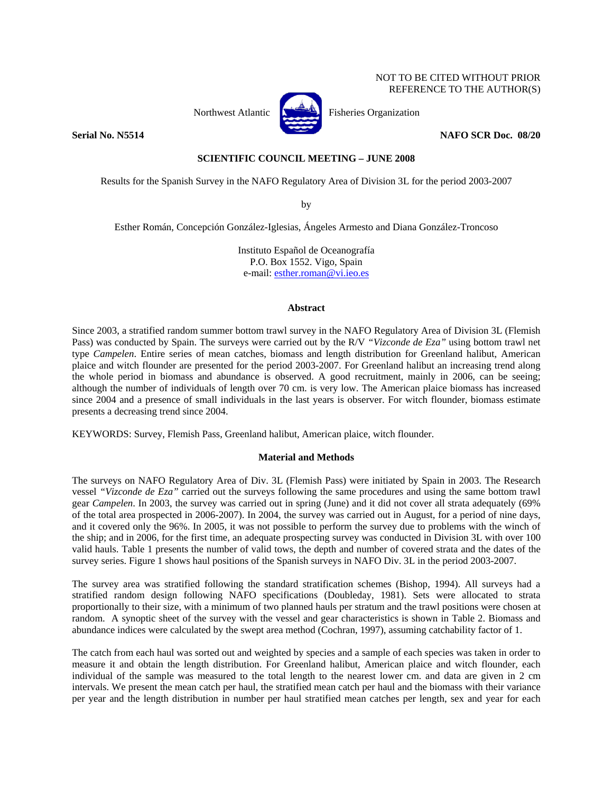# NOT TO BE CITED WITHOUT PRIOR REFERENCE TO THE AUTHOR(S)



Northwest Atlantic  $\left| \right|$  Fisheries Organization

**Serial No. N5514 NAFO SCR Doc. 08/20 NAFO SCR Doc. 08/20** 

# **SCIENTIFIC COUNCIL MEETING – JUNE 2008**

Results for the Spanish Survey in the NAFO Regulatory Area of Division 3L for the period 2003-2007

by

Esther Román, Concepción González-Iglesias, Ángeles Armesto and Diana González-Troncoso

Instituto Español de Oceanografía P.O. Box 1552. Vigo, Spain e-mail: esther.roman@vi.ieo.es

# **Abstract**

Since 2003, a stratified random summer bottom trawl survey in the NAFO Regulatory Area of Division 3L (Flemish Pass) was conducted by Spain. The surveys were carried out by the R/V *"Vizconde de Eza"* using bottom trawl net type *Campelen*. Entire series of mean catches, biomass and length distribution for Greenland halibut, American plaice and witch flounder are presented for the period 2003-2007. For Greenland halibut an increasing trend along the whole period in biomass and abundance is observed. A good recruitment, mainly in 2006, can be seeing; although the number of individuals of length over 70 cm. is very low. The American plaice biomass has increased since 2004 and a presence of small individuals in the last years is observer. For witch flounder, biomass estimate presents a decreasing trend since 2004.

KEYWORDS: Survey, Flemish Pass, Greenland halibut, American plaice, witch flounder.

# **Material and Methods**

The surveys on NAFO Regulatory Area of Div. 3L (Flemish Pass) were initiated by Spain in 2003. The Research vessel *"Vizconde de Eza"* carried out the surveys following the same procedures and using the same bottom trawl gear *Campelen*. In 2003, the survey was carried out in spring (June) and it did not cover all strata adequately (69% of the total area prospected in 2006-2007). In 2004, the survey was carried out in August, for a period of nine days, and it covered only the 96%. In 2005, it was not possible to perform the survey due to problems with the winch of the ship; and in 2006, for the first time, an adequate prospecting survey was conducted in Division 3L with over 100 valid hauls. Table 1 presents the number of valid tows, the depth and number of covered strata and the dates of the survey series. Figure 1 shows haul positions of the Spanish surveys in NAFO Div. 3L in the period 2003-2007.

The survey area was stratified following the standard stratification schemes (Bishop, 1994). All surveys had a stratified random design following NAFO specifications (Doubleday, 1981). Sets were allocated to strata proportionally to their size, with a minimum of two planned hauls per stratum and the trawl positions were chosen at random. A synoptic sheet of the survey with the vessel and gear characteristics is shown in Table 2. Biomass and abundance indices were calculated by the swept area method (Cochran, 1997), assuming catchability factor of 1.

The catch from each haul was sorted out and weighted by species and a sample of each species was taken in order to measure it and obtain the length distribution. For Greenland halibut, American plaice and witch flounder, each individual of the sample was measured to the total length to the nearest lower cm. and data are given in 2 cm intervals. We present the mean catch per haul, the stratified mean catch per haul and the biomass with their variance per year and the length distribution in number per haul stratified mean catches per length, sex and year for each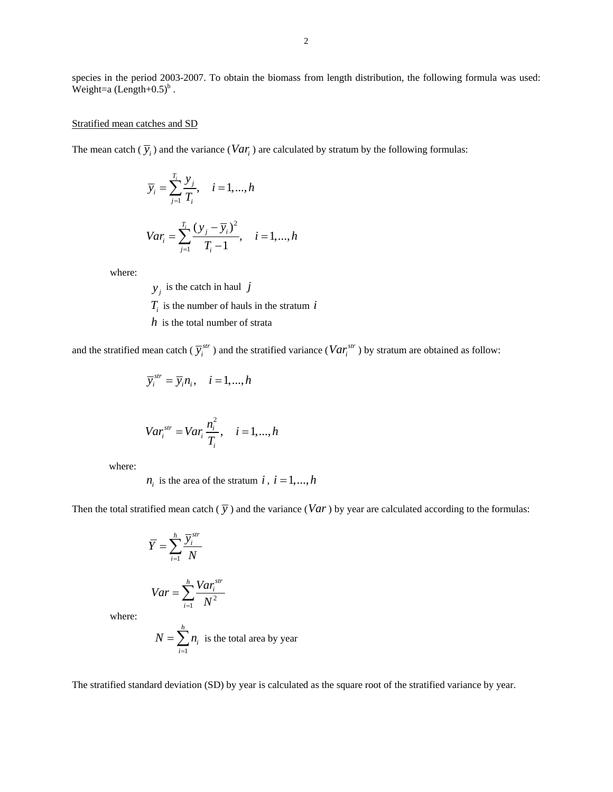species in the period 2003-2007. To obtain the biomass from length distribution, the following formula was used: Weight=a  $(Length+0.5)^b$ .

## Stratified mean catches and SD

The mean catch  $(\overline{y}_i)$  and the variance  $(Var_i)$  are calculated by stratum by the following formulas:

$$
\overline{y}_i = \sum_{j=1}^{T_i} \frac{y_j}{T_i}, \quad i = 1, ..., h
$$
  

$$
Var_i = \sum_{j=1}^{T_i} \frac{(y_j - \overline{y}_i)^2}{T_i - 1}, \quad i = 1, ..., h
$$

where:

 $y_i$  is the catch in haul *j*  $T_i$  is the number of hauls in the stratum  $i$ *h* is the total number of strata

and the stratified mean catch ( $\overline{y}_i^{str}$ ) and the stratified variance ( $Var_i^{str}$ ) by stratum are obtained as follow:

$$
\overline{y}_i^{str} = \overline{y}_i n_i, \quad i = 1, ..., h
$$

$$
Var_i^{str} = Var_i \frac{n_i^2}{T_i}, \quad i = 1, \dots, h
$$

where:

 $n_i$  is the area of the stratum *i*,  $i = 1, ..., h$ 

Then the total stratified mean catch  $(\overline{y})$  and the variance  $(Var)$  by year are calculated according to the formulas:

$$
\overline{Y} = \sum_{i=1}^{h} \frac{\overline{y}_i^{str}}{N}
$$

$$
Var = \sum_{i=1}^{h} \frac{Var_i^{str}}{N^2}
$$

where:

$$
N = \sum_{i=1}^{h} n_i
$$
 is the total area by year

The stratified standard deviation (SD) by year is calculated as the square root of the stratified variance by year.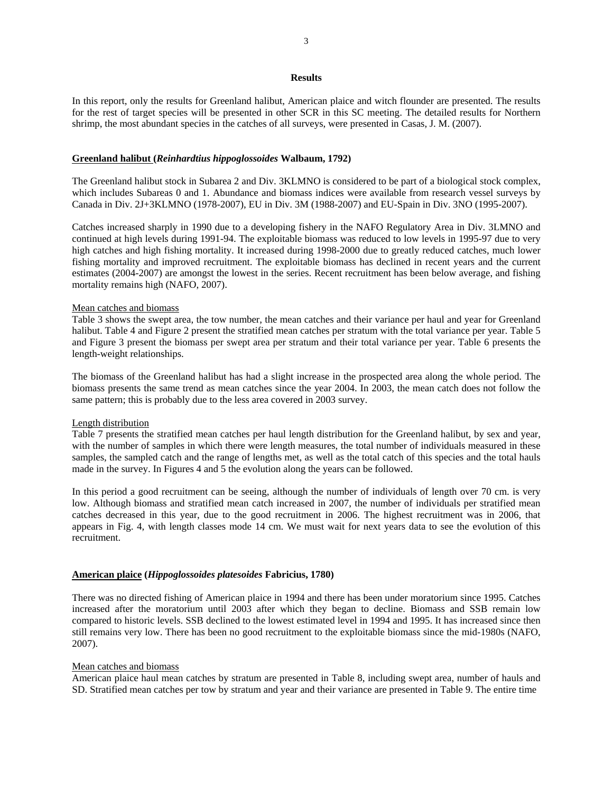## **Results**

In this report, only the results for Greenland halibut, American plaice and witch flounder are presented. The results for the rest of target species will be presented in other SCR in this SC meeting. The detailed results for Northern shrimp, the most abundant species in the catches of all surveys, were presented in Casas, J. M. (2007).

## **Greenland halibut (***Reinhardtius hippoglossoides* **Walbaum, 1792)**

The Greenland halibut stock in Subarea 2 and Div. 3KLMNO is considered to be part of a biological stock complex, which includes Subareas 0 and 1. Abundance and biomass indices were available from research vessel surveys by Canada in Div. 2J+3KLMNO (1978-2007), EU in Div. 3M (1988-2007) and EU-Spain in Div. 3NO (1995-2007).

Catches increased sharply in 1990 due to a developing fishery in the NAFO Regulatory Area in Div. 3LMNO and continued at high levels during 1991-94. The exploitable biomass was reduced to low levels in 1995-97 due to very high catches and high fishing mortality. It increased during 1998-2000 due to greatly reduced catches, much lower fishing mortality and improved recruitment. The exploitable biomass has declined in recent years and the current estimates (2004-2007) are amongst the lowest in the series. Recent recruitment has been below average, and fishing mortality remains high (NAFO, 2007).

# Mean catches and biomass

Table 3 shows the swept area, the tow number, the mean catches and their variance per haul and year for Greenland halibut. Table 4 and Figure 2 present the stratified mean catches per stratum with the total variance per year. Table 5 and Figure 3 present the biomass per swept area per stratum and their total variance per year. Table 6 presents the length-weight relationships.

The biomass of the Greenland halibut has had a slight increase in the prospected area along the whole period. The biomass presents the same trend as mean catches since the year 2004. In 2003, the mean catch does not follow the same pattern; this is probably due to the less area covered in 2003 survey.

### Length distribution

Table 7 presents the stratified mean catches per haul length distribution for the Greenland halibut, by sex and year, with the number of samples in which there were length measures, the total number of individuals measured in these samples, the sampled catch and the range of lengths met, as well as the total catch of this species and the total hauls made in the survey. In Figures 4 and 5 the evolution along the years can be followed.

In this period a good recruitment can be seeing, although the number of individuals of length over 70 cm. is very low. Although biomass and stratified mean catch increased in 2007, the number of individuals per stratified mean catches decreased in this year, due to the good recruitment in 2006. The highest recruitment was in 2006, that appears in Fig. 4, with length classes mode 14 cm. We must wait for next years data to see the evolution of this recruitment.

## **American plaice (***Hippoglossoides platesoides* **Fabricius, 1780)**

There was no directed fishing of American plaice in 1994 and there has been under moratorium since 1995. Catches increased after the moratorium until 2003 after which they began to decline. Biomass and SSB remain low compared to historic levels. SSB declined to the lowest estimated level in 1994 and 1995. It has increased since then still remains very low. There has been no good recruitment to the exploitable biomass since the mid-1980s (NAFO, 2007).

#### Mean catches and biomass

American plaice haul mean catches by stratum are presented in Table 8, including swept area, number of hauls and SD. Stratified mean catches per tow by stratum and year and their variance are presented in Table 9. The entire time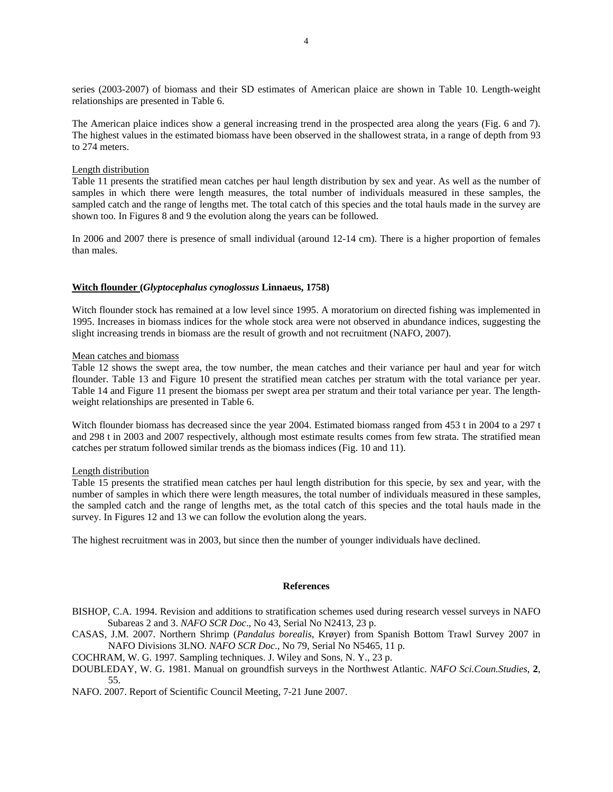series (2003-2007) of biomass and their SD estimates of American plaice are shown in Table 10. Length-weight relationships are presented in Table 6.

The American plaice indices show a general increasing trend in the prospected area along the years (Fig. 6 and 7). The highest values in the estimated biomass have been observed in the shallowest strata, in a range of depth from 93 to 274 meters.

## Length distribution

Table 11 presents the stratified mean catches per haul length distribution by sex and year. As well as the number of samples in which there were length measures, the total number of individuals measured in these samples, the sampled catch and the range of lengths met. The total catch of this species and the total hauls made in the survey are shown too. In Figures 8 and 9 the evolution along the years can be followed.

In 2006 and 2007 there is presence of small individual (around 12-14 cm). There is a higher proportion of females than males.

## **Witch flounder (***Glyptocephalus cynoglossus* **Linnaeus, 1758)**

Witch flounder stock has remained at a low level since 1995. A moratorium on directed fishing was implemented in 1995. Increases in biomass indices for the whole stock area were not observed in abundance indices, suggesting the slight increasing trends in biomass are the result of growth and not recruitment (NAFO, 2007).

#### Mean catches and biomass

Table 12 shows the swept area, the tow number, the mean catches and their variance per haul and year for witch flounder. Table 13 and Figure 10 present the stratified mean catches per stratum with the total variance per year. Table 14 and Figure 11 present the biomass per swept area per stratum and their total variance per year. The lengthweight relationships are presented in Table 6.

Witch flounder biomass has decreased since the year 2004. Estimated biomass ranged from 453 t in 2004 to a 297 t and 298 t in 2003 and 2007 respectively, although most estimate results comes from few strata. The stratified mean catches per stratum followed similar trends as the biomass indices (Fig. 10 and 11).

#### Length distribution

Table 15 presents the stratified mean catches per haul length distribution for this specie, by sex and year, with the number of samples in which there were length measures, the total number of individuals measured in these samples, the sampled catch and the range of lengths met, as the total catch of this species and the total hauls made in the survey. In Figures 12 and 13 we can follow the evolution along the years.

The highest recruitment was in 2003, but since then the number of younger individuals have declined.

#### **References**

BISHOP, C.A. 1994. Revision and additions to stratification schemes used during research vessel surveys in NAFO Subareas 2 and 3. *NAFO SCR Doc*., No 43, Serial No N2413, 23 p.

CASAS, J.M. 2007. Northern Shrimp (*Pandalus borealis*, Krøyer) from Spanish Bottom Trawl Survey 2007 in NAFO Divisions 3LNO. *NAFO SCR Doc*., No 79, Serial No N5465, 11 p.

COCHRAM, W. G. 1997. Sampling techniques. J. Wiley and Sons, N. Y., 23 p.

DOUBLEDAY, W. G. 1981. Manual on groundfish surveys in the Northwest Atlantic. *NAFO Sci.Coun.Studies*, **2**, 55.

NAFO. 2007. Report of Scientific Council Meeting, 7-21 June 2007.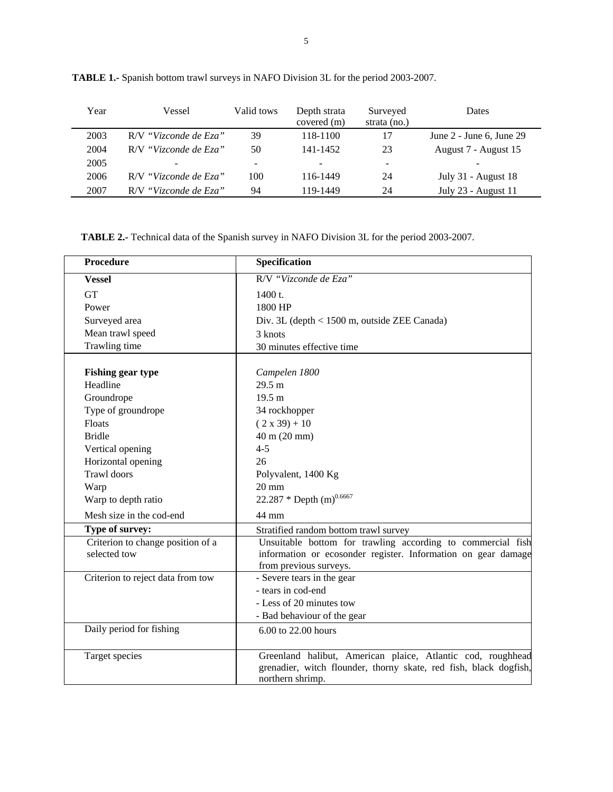| Year | Vessel                | Valid tows | Depth strata<br>covered (m) | Surveyed<br>strata $(no.)$ | Dates                        |
|------|-----------------------|------------|-----------------------------|----------------------------|------------------------------|
| 2003 | R/V "Vizconde de Eza" | 39         | 118-1100                    | 17                         | June $2$ - June 6, June $29$ |
| 2004 | R/V "Vizconde de Eza" | 50         | 141-1452                    | 23                         | August 7 - August 15         |
| 2005 |                       | -          |                             | $\overline{\phantom{0}}$   | -                            |
| 2006 | R/V "Vizconde de Eza" | 100        | 116-1449                    | 24                         | July 31 - August 18          |
| 2007 | R/V "Vizconde de Eza" | 94         | 119-1449                    | 24                         | July 23 - August 11          |

**TABLE 1.-** Spanish bottom trawl surveys in NAFO Division 3L for the period 2003-2007.

**TABLE 2.-** Technical data of the Spanish survey in NAFO Division 3L for the period 2003-2007.

| Procedure                                         | Specification                                                                                                                                          |
|---------------------------------------------------|--------------------------------------------------------------------------------------------------------------------------------------------------------|
| <b>Vessel</b>                                     | R/V "Vizconde de Eza"                                                                                                                                  |
| <b>GT</b>                                         | 1400 t.                                                                                                                                                |
| Power                                             | 1800 HP                                                                                                                                                |
| Surveyed area                                     | Div. 3L (depth < 1500 m, outside ZEE Canada)                                                                                                           |
| Mean trawl speed                                  | 3 knots                                                                                                                                                |
| Trawling time                                     | 30 minutes effective time                                                                                                                              |
| <b>Fishing gear type</b>                          | Campelen 1800                                                                                                                                          |
| Headline                                          | 29.5 m                                                                                                                                                 |
| Groundrope                                        | 19.5 m                                                                                                                                                 |
| Type of groundrope                                | 34 rockhopper                                                                                                                                          |
| Floats                                            | $(2 x 39) + 10$                                                                                                                                        |
| <b>Bridle</b>                                     | 40 m (20 mm)                                                                                                                                           |
| Vertical opening                                  | $4 - 5$                                                                                                                                                |
| Horizontal opening                                | 26                                                                                                                                                     |
| <b>Trawl</b> doors                                | Polyvalent, 1400 Kg                                                                                                                                    |
| Warp                                              | $20 \text{ mm}$                                                                                                                                        |
| Warp to depth ratio                               | 22.287 * Depth $(m)^{0.6667}$                                                                                                                          |
| Mesh size in the cod-end                          | 44 mm                                                                                                                                                  |
| Type of survey:                                   | Stratified random bottom trawl survey                                                                                                                  |
| Criterion to change position of a<br>selected tow | Unsuitable bottom for trawling according to commercial fish<br>information or ecosonder register. Information on gear damage<br>from previous surveys. |
| Criterion to reject data from tow                 | - Severe tears in the gear                                                                                                                             |
|                                                   | - tears in cod-end                                                                                                                                     |
|                                                   | - Less of 20 minutes tow                                                                                                                               |
|                                                   | - Bad behaviour of the gear                                                                                                                            |
| Daily period for fishing                          | 6.00 to 22.00 hours                                                                                                                                    |
| Target species                                    | Greenland halibut, American plaice, Atlantic cod, roughhead<br>grenadier, witch flounder, thorny skate, red fish, black dogfish,<br>northern shrimp.   |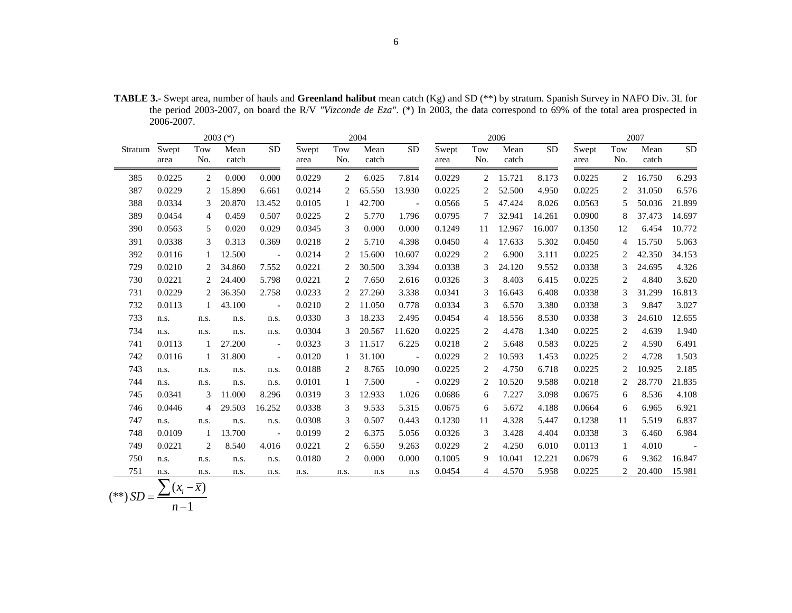**TABLE 3.-** Swept area, number of hauls and **Greenland halibut** mean catch (Kg) and SD (\*\*) by stratum. Spanish Survey in NAFO Div. 3L for the period 2003-2007, on board the R/V *"Vizconde de Eza".* (\*) In 2003, the data correspond to 69% of the total area prospected in 2006-2007.

|               | 2004<br>$2003$ (*)       |                          |               |                          |               |            | 2006          |                          |               |            |               | 2007      |               |                |               |            |
|---------------|--------------------------|--------------------------|---------------|--------------------------|---------------|------------|---------------|--------------------------|---------------|------------|---------------|-----------|---------------|----------------|---------------|------------|
| Stratum Swept | area                     | Tow<br>No.               | Mean<br>catch | <b>SD</b>                | Swept<br>area | Tow<br>No. | Mean<br>catch | <b>SD</b>                | Swept<br>area | Tow<br>No. | Mean<br>catch | <b>SD</b> | Swept<br>area | Tow<br>No.     | Mean<br>catch | <b>SD</b>  |
| 385           | 0.0225                   | 2                        | 0.000         | 0.000                    | 0.0229        | 2          | 6.025         | 7.814                    | 0.0229        | 2          | 15.721        | 8.173     | 0.0225        | $\overline{2}$ | 16.750        | 6.293      |
| 387           | 0.0229                   | 2                        | 15.890        | 6.661                    | 0.0214        | 2          | 65.550        | 13.930                   | 0.0225        |            | 52.500        | 4.950     | 0.0225        | 2              | 31.050        | 6.576      |
| 388           | 0.0334                   | 3                        | 20.870        | 13.452                   | 0.0105        |            | 42.700        | $\overline{\phantom{a}}$ | 0.0566        | 5          | 47.424        | 8.026     | 0.0563        | 5              | 50.036        | 21.899     |
| 389           | 0.0454                   | $\overline{4}$           | 0.459         | 0.507                    | 0.0225        | 2          | 5.770         | 1.796                    | 0.0795        |            | 32.941        | 14.261    | 0.0900        | 8              | 37.473        | 14.697     |
| 390           | 0.0563                   | 5                        | 0.020         | 0.029                    | 0.0345        | 3          | 0.000         | 0.000                    | 0.1249        | 11         | 12.967        | 16.007    | 0.1350        | 12             | 6.454         | 10.772     |
| 391           | 0.0338                   | 3                        | 0.313         | 0.369                    | 0.0218        | 2          | 5.710         | 4.398                    | 0.0450        | 4          | 17.633        | 5.302     | 0.0450        | 4              | 15.750        | 5.063      |
| 392           | 0.0116                   | 1                        | 12.500        | $\blacksquare$           | 0.0214        | 2          | 15.600        | 10.607                   | 0.0229        | 2          | 6.900         | 3.111     | 0.0225        |                | 42.350        | 34.153     |
| 729           | 0.0210                   | 2                        | 34.860        | 7.552                    | 0.0221        | 2          | 30.500        | 3.394                    | 0.0338        | 3          | 24.120        | 9.552     | 0.0338        | 3              | 24.695        | 4.326      |
| 730           | 0.0221                   | 2                        | 24.400        | 5.798                    | 0.0221        | 2          | 7.650         | 2.616                    | 0.0326        | 3          | 8.403         | 6.415     | 0.0225        | 2              | 4.840         | 3.620      |
| 731           | 0.0229                   | 2                        | 36.350        | 2.758                    | 0.0233        | 2          | 27.260        | 3.338                    | 0.0341        | 3          | 16.643        | 6.408     | 0.0338        | 3              | 31.299        | 16.813     |
| 732           | 0.0113                   | 1                        | 43.100        | $\overline{\phantom{a}}$ | 0.0210        | 2          | 11.050        | 0.778                    | 0.0334        | 3          | 6.570         | 3.380     | 0.0338        | 3              | 9.847         | 3.027      |
| 733           | n.s.                     | n.s.                     | n.s.          | n.s.                     | 0.0330        | 3          | 18.233        | 2.495                    | 0.0454        | 4          | 18.556        | 8.530     | 0.0338        | 3              | 24.610        | 12.655     |
| 734           | n.s.                     | n.s.                     | n.s.          | n.s.                     | 0.0304        | 3          | 20.567        | 11.620                   | 0.0225        | 2          | 4.478         | 1.340     | 0.0225        | 2              | 4.639         | 1.940      |
| 741           | 0.0113                   | 1                        | 27.200        | $\blacksquare$           | 0.0323        | 3          | 11.517        | 6.225                    | 0.0218        | 2          | 5.648         | 0.583     | 0.0225        | $\overline{2}$ | 4.590         | 6.491      |
| 742           | 0.0116                   | 1                        | 31.800        | $\blacksquare$           | 0.0120        |            | 31.100        | $\overline{\phantom{a}}$ | 0.0229        | 2          | 10.593        | 1.453     | 0.0225        | 2              | 4.728         | 1.503      |
| 743           | n.s.                     | n.s.                     | n.s.          | n.s.                     | 0.0188        | 2          | 8.765         | 10.090                   | 0.0225        | 2          | 4.750         | 6.718     | 0.0225        | 2              | 10.925        | 2.185      |
| 744           | n.s.                     | n.s.                     | n.s.          | n.s.                     | 0.0101        | 1          | 7.500         | $\sim$                   | 0.0229        | 2          | 10.520        | 9.588     | 0.0218        | 2              | 28.770        | 21.835     |
| 745           | 0.0341                   | 3                        | 11.000        | 8.296                    | 0.0319        | 3          | 12.933        | 1.026                    | 0.0686        | 6          | 7.227         | 3.098     | 0.0675        | 6              | 8.536         | 4.108      |
| 746           | 0.0446                   | 4                        | 29.503        | 16.252                   | 0.0338        | 3          | 9.533         | 5.315                    | 0.0675        | 6          | 5.672         | 4.188     | 0.0664        | 6              | 6.965         | 6.921      |
| 747           | n.s.                     | n.s.                     | n.s.          | n.s.                     | 0.0308        | 3          | 0.507         | 0.443                    | 0.1230        | 11         | 4.328         | 5.447     | 0.1238        | 11             | 5.519         | 6.837      |
| 748           | 0.0109                   | 1                        | 13.700        | $\blacksquare$           | 0.0199        | 2          | 6.375         | 5.056                    | 0.0326        | 3          | 3.428         | 4.404     | 0.0338        | 3              | 6.460         | 6.984      |
| 749           | 0.0221                   | 2                        | 8.540         | 4.016                    | 0.0221        | 2          | 6.550         | 9.263                    | 0.0229        | 2          | 4.250         | 6.010     | 0.0113        | 1              | 4.010         | $\sim$ $-$ |
| 750           | n.s.                     | n.s.                     | n.s.          | n.s.                     | 0.0180        | 2          | 0.000         | 0.000                    | 0.1005        | 9          | 10.041        | 12.221    | 0.0679        | 6              | 9.362         | 16.847     |
| 751           | n.s.                     | n.s.                     | n.s.          | n.s.                     | n.s.          | n.s.       | n.s           | n.s                      | 0.0454        | 4          | 4.570         | 5.958     | 0.0225        | 2              | 20.400        | 15.981     |
|               | $\overline{\phantom{a}}$ | $\overline{\phantom{0}}$ |               |                          |               |            |               |                          |               |            |               |           |               |                |               |            |

$$
(**) SD = \frac{\sum (x_i - \overline{x})}{n-1}
$$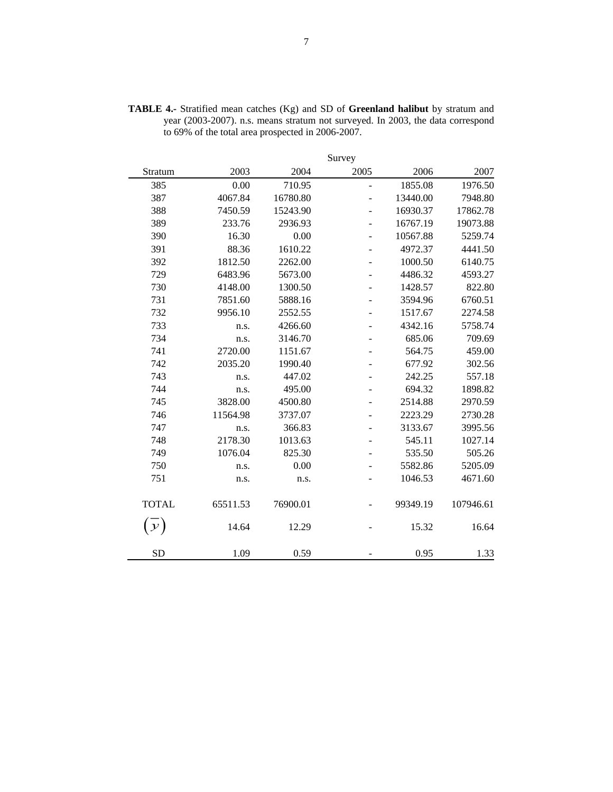|               |          |          | Survey                   |          |           |
|---------------|----------|----------|--------------------------|----------|-----------|
| Stratum       | 2003     | 2004     | 2005                     | 2006     | 2007      |
| 385           | 0.00     | 710.95   | $\overline{a}$           | 1855.08  | 1976.50   |
| 387           | 4067.84  | 16780.80 | $\overline{a}$           | 13440.00 | 7948.80   |
| 388           | 7450.59  | 15243.90 | $\overline{\phantom{0}}$ | 16930.37 | 17862.78  |
| 389           | 233.76   | 2936.93  |                          | 16767.19 | 19073.88  |
| 390           | 16.30    | 0.00     |                          | 10567.88 | 5259.74   |
| 391           | 88.36    | 1610.22  | $\blacksquare$           | 4972.37  | 4441.50   |
| 392           | 1812.50  | 2262.00  | $\overline{a}$           | 1000.50  | 6140.75   |
| 729           | 6483.96  | 5673.00  | ÷                        | 4486.32  | 4593.27   |
| 730           | 4148.00  | 1300.50  | $\blacksquare$           | 1428.57  | 822.80    |
| 731           | 7851.60  | 5888.16  |                          | 3594.96  | 6760.51   |
| 732           | 9956.10  | 2552.55  |                          | 1517.67  | 2274.58   |
| 733           | n.s.     | 4266.60  | $\blacksquare$           | 4342.16  | 5758.74   |
| 734           | n.s.     | 3146.70  |                          | 685.06   | 709.69    |
| 741           | 2720.00  | 1151.67  | ÷                        | 564.75   | 459.00    |
| 742           | 2035.20  | 1990.40  | $\overline{\phantom{0}}$ | 677.92   | 302.56    |
| 743           | n.s.     | 447.02   |                          | 242.25   | 557.18    |
| 744           | n.s.     | 495.00   |                          | 694.32   | 1898.82   |
| 745           | 3828.00  | 4500.80  |                          | 2514.88  | 2970.59   |
| 746           | 11564.98 | 3737.07  |                          | 2223.29  | 2730.28   |
| 747           | n.s.     | 366.83   | $\overline{a}$           | 3133.67  | 3995.56   |
| 748           | 2178.30  | 1013.63  | ÷                        | 545.11   | 1027.14   |
| 749           | 1076.04  | 825.30   |                          | 535.50   | 505.26    |
| 750           | n.s.     | 0.00     |                          | 5582.86  | 5205.09   |
| 751           | n.s.     | n.s.     |                          | 1046.53  | 4671.60   |
|               |          |          |                          |          |           |
| <b>TOTAL</b>  | 65511.53 | 76900.01 |                          | 99349.19 | 107946.61 |
| $\mathcal{Y}$ | 14.64    | 12.29    |                          | 15.32    | 16.64     |
|               |          |          |                          |          |           |
| <b>SD</b>     | 1.09     | 0.59     |                          | 0.95     | 1.33      |

**TABLE 4.-** Stratified mean catches (Kg) and SD of **Greenland halibut** by stratum and year (2003-2007). n.s. means stratum not surveyed. In 2003, the data correspond to 69% of the total area prospected in 2006-2007.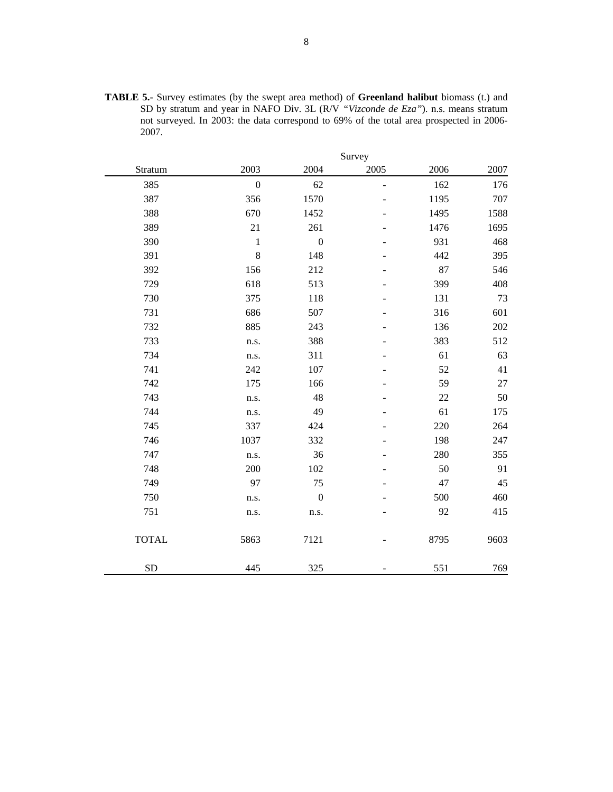| <b>TABLE 5.-</b> Survey estimates (by the swept area method) of <b>Greenland halibut</b> biomass (t.) and |
|-----------------------------------------------------------------------------------------------------------|
| SD by stratum and year in NAFO Div. 3L (R/V "Vizconde de Eza"). n.s. means stratum                        |
| not surveyed. In 2003: the data correspond to 69% of the total area prospected in 2006-                   |
| 2007.                                                                                                     |

|              |                |                  | Survey |      |      |
|--------------|----------------|------------------|--------|------|------|
| Stratum      | 2003           | 2004             | 2005   | 2006 | 2007 |
| 385          | $\overline{0}$ | 62               | ÷,     | 162  | 176  |
| 387          | 356            | 1570             |        | 1195 | 707  |
| 388          | 670            | 1452             |        | 1495 | 1588 |
| 389          | 21             | 261              |        | 1476 | 1695 |
| 390          | $\,1$          | $\boldsymbol{0}$ |        | 931  | 468  |
| 391          | 8              | 148              |        | 442  | 395  |
| 392          | 156            | 212              |        | 87   | 546  |
| 729          | 618            | 513              |        | 399  | 408  |
| 730          | 375            | 118              |        | 131  | 73   |
| 731          | 686            | 507              |        | 316  | 601  |
| 732          | 885            | 243              |        | 136  | 202  |
| 733          | n.s.           | 388              |        | 383  | 512  |
| 734          | n.s.           | 311              |        | 61   | 63   |
| 741          | 242            | 107              |        | 52   | 41   |
| 742          | 175            | 166              |        | 59   | 27   |
| 743          | n.s.           | 48               |        | 22   | 50   |
| 744          | n.s.           | 49               |        | 61   | 175  |
| 745          | 337            | 424              |        | 220  | 264  |
| 746          | 1037           | 332              |        | 198  | 247  |
| 747          | n.s.           | 36               |        | 280  | 355  |
| 748          | 200            | 102              |        | 50   | 91   |
| 749          | 97             | 75               |        | 47   | 45   |
| 750          | n.s.           | $\boldsymbol{0}$ |        | 500  | 460  |
| 751          | n.s.           | n.s.             |        | 92   | 415  |
| <b>TOTAL</b> | 5863           | 7121             |        | 8795 | 9603 |
| <b>SD</b>    | 445            | 325              |        | 551  | 769  |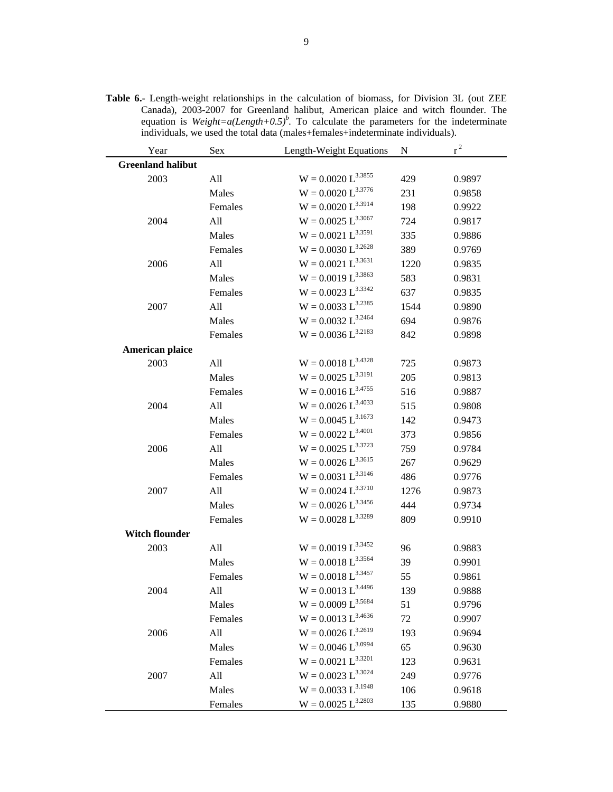| Year                     | Sex     | Length-Weight Equations   | N    | $r^2$  |
|--------------------------|---------|---------------------------|------|--------|
| <b>Greenland halibut</b> |         |                           |      |        |
| 2003                     | All     | $W = 0.0020 L^{3.3855}$   | 429  | 0.9897 |
|                          | Males   | $W = 0.0020 L^{3.3776}$   | 231  | 0.9858 |
|                          | Females | $W = 0.0020 L^{3.3914}$   | 198  | 0.9922 |
| 2004                     | All     | $W = 0.0025 L^{3.3067}$   | 724  | 0.9817 |
|                          | Males   | $W = 0.0021 L^{3.3591}$   | 335  | 0.9886 |
|                          | Females | $W = 0.0030 L^{3.2628}$   | 389  | 0.9769 |
| 2006                     | All     | $W = 0.0021 L^{3.3631}$   | 1220 | 0.9835 |
|                          | Males   | $W = 0.0019 L^{3.3863}$   | 583  | 0.9831 |
|                          | Females | $W = 0.0023 L^{3.3342}$   | 637  | 0.9835 |
| 2007                     | All     | $W = 0.0033 L^{3.2385}$   | 1544 | 0.9890 |
|                          | Males   | $W = 0.0032 L^{3.2464}$   | 694  | 0.9876 |
|                          | Females | $W = 0.0036 L^{3.2183}$   | 842  | 0.9898 |
| American plaice          |         |                           |      |        |
| 2003                     | All     | $W = 0.0018 L^{3.4328}$   | 725  | 0.9873 |
|                          | Males   | $W = 0.0025 L^{3.3191}$   | 205  | 0.9813 |
|                          | Females | $W = 0.0016 L^{3.4755}$   | 516  | 0.9887 |
| 2004                     | All     | $W = 0.0026 L^{3.4033}$   | 515  | 0.9808 |
|                          | Males   | $W = 0.0045 L^{3.1673}$   | 142  | 0.9473 |
|                          | Females | $W = 0.0022 L^{3.4001}$   | 373  | 0.9856 |
| 2006                     | All     | $W = 0.0025 L^{3.3723}$   | 759  | 0.9784 |
|                          | Males   | $W = 0.0026 L^{3.3615}$   | 267  | 0.9629 |
|                          | Females | $W = 0.0031 L^{3.3146}$   | 486  | 0.9776 |
| 2007                     | All     | $W = 0.0024 L^{3.3710}$   | 1276 | 0.9873 |
|                          | Males   | $W = 0.0026 L^{3.3456}$   | 444  | 0.9734 |
|                          | Females | $W = 0.0028 L^{3.3289}$   | 809  | 0.9910 |
| <b>Witch flounder</b>    |         |                           |      |        |
| 2003                     | All     | $W = 0.0019 L^{3.3452}$   | 96   | 0.9883 |
|                          | Males   | $W = 0.0018 L^{3.3564}$   | 39   | 0.9901 |
|                          | Females | $\rm W=0.0018~L^{3.3457}$ | 55   | 0.9861 |
| 2004                     | All     | $W = 0.0013 L^{3.4496}$   | 139  | 0.9888 |
|                          | Males   | $W = 0.0009 L^{3.5684}$   | 51   | 0.9796 |
|                          | Females | $W = 0.0013 L^{3.4636}$   | 72   | 0.9907 |
| 2006                     | All     | $W = 0.0026 L^{3.2619}$   | 193  | 0.9694 |
|                          | Males   | $W = 0.0046 L^{3.0994}$   | 65   | 0.9630 |
|                          | Females | $W = 0.0021 L^{3.3201}$   | 123  | 0.9631 |
| 2007                     | All     | $W = 0.0023 L^{3.3024}$   | 249  | 0.9776 |
|                          | Males   | $W = 0.0033 L^{3.1948}$   | 106  | 0.9618 |
|                          | Females | $W = 0.0025 L^{3.2803}$   | 135  | 0.9880 |

**Table 6.-** Length-weight relationships in the calculation of biomass, for Division 3L (out ZEE Canada), 2003-2007 for Greenland halibut, American plaice and witch flounder. The equation is *Weight=a(Length+0.5)<sup>b</sup>*. To calculate the parameters for the indeterminate individuals, we used the total data (males+females+indeterminate individuals).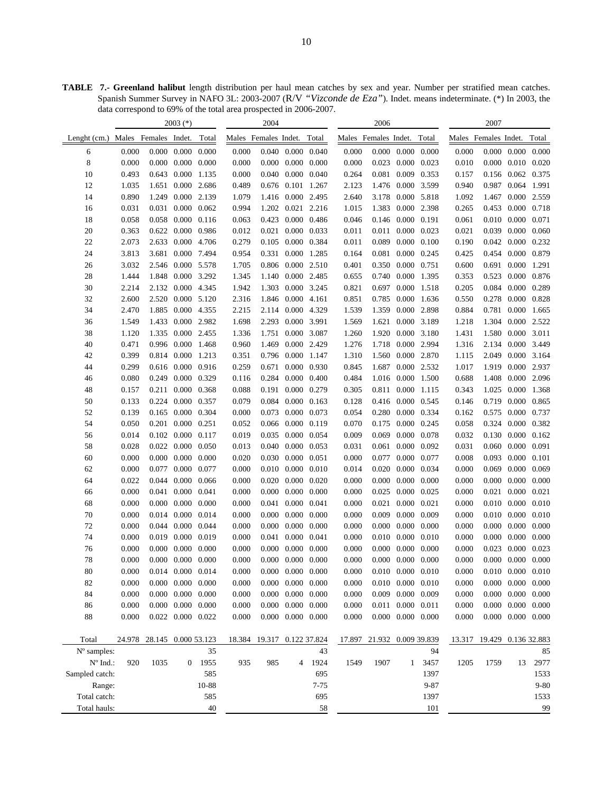**TABLE 7.- Greenland halibut** length distribution per haul mean catches by sex and year. Number per stratified mean catches. Spanish Summer Survey in NAFO 3L: 2003-2007 (R/V *"Vizconde de Eza"*). Indet. means indeterminate. (\*) In 2003, the data correspond to 69% of the total area prospected in 2006-2007.

|                |                      |                            | $2003$ (*)              |              |                      | 2004                       |                         |                 |        | 2006                 |                   |                                 |                      | 2007                       |                         |                         |
|----------------|----------------------|----------------------------|-------------------------|--------------|----------------------|----------------------------|-------------------------|-----------------|--------|----------------------|-------------------|---------------------------------|----------------------|----------------------------|-------------------------|-------------------------|
| Lenght $(cm.)$ | Males Females Indet. |                            |                         | Total        | Males Females Indet. |                            |                         | Total           |        | Males Females Indet. |                   | Total                           | Males Females Indet. |                            |                         | Total                   |
| 6              | 0.000                |                            | $0.000 \quad 0.000$     | 0.000        | 0.000                |                            | 0.040 0.000 0.040       |                 | 0.000  |                      |                   | $0.000$ $0.000$ $0.000$         | 0.000                |                            | $0.000$ $0.000$ $0.000$ |                         |
| 8              | 0.000                | 0.000                      | 0.000                   | 0.000        | 0.000                |                            | $0.000 \quad 0.000$     | 0.000           | 0.000  | 0.023                | 0.000             | 0.023                           | 0.010                | 0.000                      |                         | $0.010$ $0.020$         |
| 10             | 0.493                |                            | 0.643 0.000             | 1.135        | 0.000                |                            | $0.040$ $0.000$         | 0.040           | 0.264  |                      | 0.081 0.009 0.353 |                                 | 0.157                |                            | 0.156 0.062 0.375       |                         |
| 12             | 1.035                |                            | 1.651 0.000             | 2.686        | 0.489                |                            | 0.676 0.101 1.267       |                 | 2.123  |                      | 1.476 0.000       | 3.599                           | 0.940                | 0.987                      | 0.064 1.991             |                         |
| 14             | 0.890                | 1.249                      | 0.000                   | 2.139        | 1.079                |                            | 1.416 0.000 2.495       |                 | 2.640  | 3.178                |                   | 0.000 5.818                     | 1.092                | 1.467                      |                         | 0.000 2.559             |
| 16             | 0.031                | 0.031                      | 0.000                   | 0.062        | 0.994                | 1.202                      | 0.021 2.216             |                 | 1.015  | 1.383                | 0.000             | 2.398                           | 0.265                | 0.453                      |                         | 0.000 0.718             |
| 18             | 0.058                | 0.058                      | 0.000                   | 0.116        | 0.063                | 0.423                      | 0.000                   | 0.486           | 0.046  | 0.146                | 0.000 0.191       |                                 | 0.061                | 0.010                      | 0.000                   | 0.071                   |
| 20             | 0.363                |                            | 0.622 0.000             | 0.986        | 0.012                |                            | 0.021 0.000             | 0.033           | 0.011  |                      | 0.011 0.000 0.023 |                                 | 0.021                | 0.039                      |                         | 0.000 0.060             |
| 22             | 2.073                | 2.633                      | 0.000 4.706             |              | 0.279                |                            | 0.105 0.000 0.384       |                 | 0.011  | 0.089                |                   | $0.000 \quad 0.100$             | 0.190                |                            | 0.042 0.000 0.232       |                         |
| 24             | 3.813                | 3.681                      |                         | 0.000 7.494  | 0.954                | 0.331                      | 0.000                   | 1.285           | 0.164  | 0.081                |                   | $0.000 \quad 0.245$             | 0.425                | 0.454                      |                         | 0.000 0.879             |
| 26             | 3.032                | 2.546                      |                         | 0.000 5.578  | 1.705                | 0.806                      | 0.000 2.510             |                 | 0.401  | 0.350                |                   | 0.000 0.751                     | 0.600                | 0.691                      | 0.000                   | 1.291                   |
| 28             | 1.444                | 1.848                      | 0.000                   | 3.292        | 1.345                | 1.140                      | 0.000 2.485             |                 | 0.655  | 0.740                | 0.000             | 1.395                           | 0.353                | 0.523                      | 0.000                   | 0.876                   |
| 30             | 2.214                |                            | 2.132 0.000             | 4.345        | 1.942                | 1.303                      | 0.000 3.245             |                 | 0.821  | 0.697                | 0.000             | 1.518                           | 0.205                | 0.084                      | 0.000                   | 0.289                   |
| 32             | 2.600                | 2.520                      | 0.000                   | 5.120        | 2.316                | 1.846                      | $0.000$ 4.161           |                 | 0.851  | 0.785                | 0.000             | 1.636                           | 0.550                | 0.278                      | 0.000                   | 0.828                   |
| 34             | 2.470                | 1.885                      | 0.000                   | 4.355        | 2.215                | 2.114                      | 0.000                   | 4.329           | 1.539  | 1.359                | 0.000             | 2.898                           | 0.884                | 0.781                      | 0.000                   | 1.665                   |
| 36             | 1.549                | 1.433                      | 0.000                   | 2.982        | 1.698                | 2.293                      | 0.000 3.991             |                 | 1.569  | 1.621                |                   | 0.000 3.189                     | 1.218                | 1.304                      | 0.000                   | 2.522                   |
| 38             | 1.120                | 1.335                      | 0.000 2.455             |              | 1.336                | 1.751                      | 0.000                   | 3.087           | 1.260  | 1.920                |                   | 0.000 3.180                     | 1.431                | 1.580                      | 0.000 3.011             |                         |
| 40             | 0.471                |                            | 0.996 0.000 1.468       |              | 0.960                | 1.469                      | 0.000 2.429             |                 | 1.276  | 1.718                | 0.000 2.994       |                                 | 1.316                |                            | 2.134 0.000 3.449       |                         |
| 42             | 0.399                |                            | 0.814 0.000             | 1.213        | 0.351                |                            | 0.796 0.000             | 1.147           | 1.310  | 1.560                |                   | 0.000 2.870                     | 1.115                | 2.049                      |                         | 0.000 3.164             |
| 44             | 0.299                |                            | 0.616 0.000             | 0.916        | 0.259                | 0.671                      | 0.000                   | 0.930           | 0.845  | 1.687                |                   | 0.000 2.532                     | 1.017                | 1.919                      |                         | 0.000 2.937             |
| 46             | 0.080                | 0.249                      | 0.000                   | 0.329        | 0.116                |                            | 0.284 0.000             | 0.400           | 0.484  | 1.016                |                   | 0.000 1.500                     | 0.688                | 1.408                      |                         | 0.000 2.096             |
| 48             | 0.157                |                            | 0.211 0.000             | 0.368        | 0.088                |                            | 0.191 0.000             | 0.279           | 0.305  |                      | 0.811 0.000 1.115 |                                 | 0.343                | 1.025                      |                         | 0.000 1.368             |
| 50             | 0.133                |                            | 0.224 0.000             | 0.357        | 0.079                |                            | 0.084 0.000             | 0.163           | 0.128  |                      | 0.416 0.000 0.545 |                                 | 0.146                | 0.719                      |                         | 0.000 0.865             |
| 52             | 0.139                | 0.165                      | 0.000                   | 0.304        | 0.000                | 0.073                      | 0.000                   | 0.073           | 0.054  | 0.280                |                   | 0.000 0.334                     | 0.162                | 0.575                      | 0.000                   | 0.737                   |
| 54             | 0.050                | 0.201                      | 0.000                   | 0.251        | 0.052                |                            | 0.066 0.000             | 0.119           | 0.070  | 0.175                | 0.000             | 0.245                           | 0.058                | 0.324                      | 0.000                   | 0.382                   |
| 56             | 0.014                |                            | $0.102 \quad 0.000$     | 0.117        | 0.019                | 0.035                      | 0.000                   | 0.054           | 0.009  | 0.069                | 0.000             | 0.078                           | 0.032                | 0.130                      | 0.000                   | 0.162                   |
| 58             | 0.028                |                            | 0.022 0.000             | 0.050        | 0.013                | 0.040                      | 0.000                   | 0.053           | 0.031  |                      | 0.061 0.000 0.092 |                                 | 0.031                |                            | $0.060$ $0.000$         | 0.091                   |
| 60             | 0.000                | 0.000                      | 0.000                   | 0.000        | 0.020                |                            | 0.030 0.000             | 0.051           | 0.000  | 0.077                |                   | 0.000 0.077                     | 0.008                | 0.093                      | 0.000 0.101             |                         |
| 62             | 0.000                | 0.077                      | 0.000                   | 0.077        | 0.000                | 0.010                      | 0.000                   | 0.010           | 0.014  | 0.020                | 0.000             | 0.034                           | 0.000                | 0.069                      | 0.000                   | 0.069                   |
| 64             | 0.022                | 0.044                      | 0.000                   | 0.066        | 0.000                | 0.020                      | 0.000                   | 0.020           | 0.000  | 0.000                | 0.000             | 0.000                           | 0.000                | 0.000                      | 0.000                   | 0.000                   |
| 66             | 0.000                |                            | 0.041 0.000             | 0.041        | 0.000                | 0.000                      | 0.000                   | 0.000           | 0.000  | 0.025                |                   | 0.000 0.025                     | 0.000                | 0.021                      | 0.000                   | 0.021                   |
| 68             | 0.000                | 0.000                      | 0.000                   | 0.000        | 0.000                | 0.041                      | 0.000                   | 0.041           | 0.000  | 0.021                | 0.000             | 0.021                           | 0.000                | 0.010                      | 0.000                   | 0.010                   |
| 70             | 0.000                | 0.014                      | 0.000                   | 0.014        | 0.000                | 0.000                      | 0.000                   | 0.000           | 0.000  | 0.009                | 0.000             | 0.009                           | 0.000                | 0.010                      | 0.000                   | 0.010                   |
| 72             | 0.000                |                            | 0.044 0.000             | 0.044        | 0.000                | 0.000                      | 0.000                   | 0.000           | 0.000  | 0.000                | 0.000             | 0.000                           | 0.000                | 0.000                      | 0.000                   | 0.000                   |
| 74             | 0.000                |                            | 0.019 0.000             | 0.019        | 0.000                | 0.041                      | 0.000                   | 0.041           | 0.000  | 0.010                | 0.000             | 0.010                           | 0.000                | 0.000                      | 0.000                   | 0.000                   |
| 76             | 0.000                | 0.000                      | 0.000                   | 0.000        | 0.000                | 0.000                      | 0.000                   | 0.000           | 0.000  | 0.000                | 0.000             | 0.000                           | 0.000                | 0.023                      | 0.000                   | 0.023                   |
| 78             | 0.000                |                            | $0.000 \quad 0.000$     | 0.000        | 0.000                |                            | $0.000$ $0.000$ $0.000$ |                 | 0.000  |                      |                   | $0.000 \quad 0.000 \quad 0.000$ | 0.000                |                            | $0.000$ $0.000$ $0.000$ |                         |
| 80             | 0.000                |                            | 0.014 0.000             | 0.014        | 0.000                |                            | $0.000 \quad 0.000$     | 0.000           | 0.000  |                      |                   | $0.010$ $0.000$ $0.010$         | 0.000                |                            | $0.010$ $0.000$ $0.010$ |                         |
| 82             | 0.000                |                            | $0.000 \quad 0.000$     | 0.000        | 0.000                |                            | $0.000 \quad 0.000$     | 0.000           | 0.000  |                      |                   | $0.010$ $0.000$ $0.010$         | 0.000                |                            | $0.000$ $0.000$ $0.000$ |                         |
| 84             | 0.000                |                            | $0.000 \quad 0.000$     | 0.000        | 0.000                |                            | $0.000$ $0.000$ $0.000$ |                 | 0.000  |                      | 0.009 0.000 0.009 |                                 | 0.000                |                            | $0.000$ $0.000$ $0.000$ |                         |
| 86             | 0.000                |                            | $0.000 \quad 0.000$     | 0.000        | 0.000                |                            | $0.000$ $0.000$ $0.000$ |                 | 0.000  |                      | 0.011 0.000 0.011 |                                 | 0.000                |                            |                         | $0.000$ $0.000$ $0.000$ |
| 88             | 0.000                |                            | $0.022$ $0.000$ $0.022$ |              | 0.000                |                            | $0.000$ $0.000$ $0.000$ |                 | 0.000  |                      |                   | $0.000$ $0.000$ $0.000$         | 0.000                |                            |                         | $0.000$ $0.000$ $0.000$ |
|                |                      |                            |                         |              |                      |                            |                         |                 |        |                      |                   |                                 |                      |                            |                         |                         |
| Total          |                      | 24.978 28.145 0.000 53.123 |                         |              |                      | 18.384 19.317 0.122 37.824 |                         |                 | 17.897 | 21.932 0.009 39.839  |                   |                                 |                      | 13.317 19.429 0.136 32.883 |                         |                         |
| N° samples:    |                      |                            |                         | 35           |                      |                            |                         | 43              |        |                      |                   | 94                              |                      |                            |                         | 85                      |
| N° Ind.:       | 920                  | 1035                       | 0                       | 1955         | 935                  | 985                        | 4                       | 1924            | 1549   | 1907                 | 1                 | 3457                            | 1205                 | 1759                       | 13                      | 2977                    |
| Sampled catch: |                      |                            |                         | 585          |                      |                            |                         | 695             |        |                      |                   | 1397<br>$9 - 87$                |                      |                            |                         | 1533                    |
| Range:         |                      |                            |                         | 10-88<br>585 |                      |                            |                         | $7 - 75$<br>695 |        |                      |                   | 1397                            |                      |                            |                         | $9 - 80$                |
| Total catch:   |                      |                            |                         |              |                      |                            |                         |                 |        |                      |                   |                                 |                      |                            |                         | 1533                    |
| Total hauls:   |                      |                            |                         | 40           |                      |                            |                         | 58              |        |                      |                   | 101                             |                      |                            |                         | 99                      |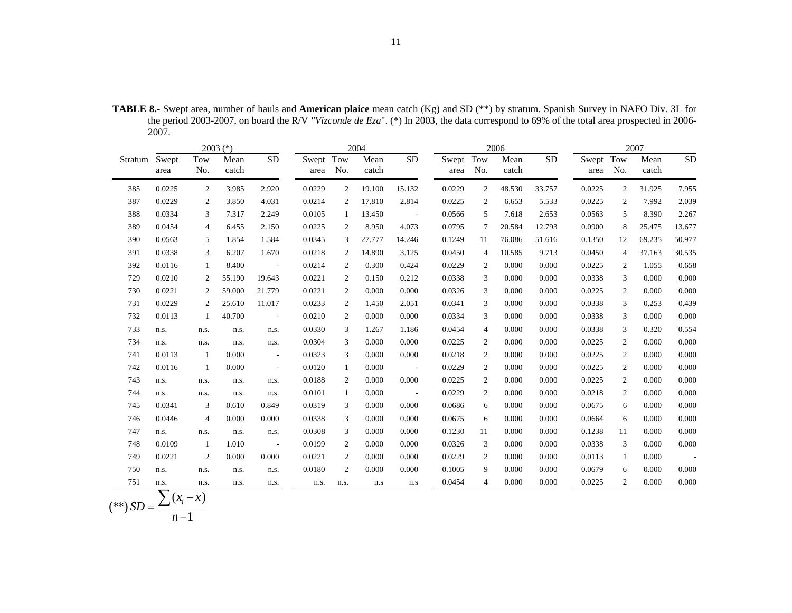|               |        |                | $2003$ (*)    |                          |           |                | 2004          |                 |           |                | 2006          |                 |           |              | 2007          |           |
|---------------|--------|----------------|---------------|--------------------------|-----------|----------------|---------------|-----------------|-----------|----------------|---------------|-----------------|-----------|--------------|---------------|-----------|
| Stratum Swept | area   | Tow<br>No.     | Mean<br>catch | $\overline{SD}$          | Swept Tow | area No.       | Mean<br>catch | $\overline{SD}$ | Swept Tow | area No.       | Mean<br>catch | $\overline{SD}$ | Swept Tow | area No.     | Mean<br>catch | <b>SD</b> |
| 385           | 0.0225 | 2              | 3.985         | 2.920                    | 0.0229    | $\overline{c}$ | 19.100        | 15.132          | 0.0229    | $\overline{2}$ | 48.530        | 33.757          | 0.0225    | $\mathbf{2}$ | 31.925        | 7.955     |
| 387           | 0.0229 | 2              | 3.850         | 4.031                    | 0.0214    | $\overline{c}$ | 17.810        | 2.814           | 0.0225    | 2              | 6.653         | 5.533           | 0.0225    | $\mathbf{2}$ | 7.992         | 2.039     |
| 388           | 0.0334 | 3              | 7.317         | 2.249                    | 0.0105    | 1              | 13.450        | $\sim 100$      | 0.0566    | 5              | 7.618         | 2.653           | 0.0563    | 5            | 8.390         | 2.267     |
| 389           | 0.0454 | $\overline{4}$ | 6.455         | 2.150                    | 0.0225    | 2              | 8.950         | 4.073           | 0.0795    | 7              | 20.584        | 12.793          | 0.0900    | 8            | 25.475        | 13.677    |
| 390           | 0.0563 | 5              | 1.854         | 1.584                    | 0.0345    | 3              | 27.777        | 14.246          | 0.1249    | 11             | 76.086        | 51.616          | 0.1350    | 12           | 69.235        | 50.977    |
| 391           | 0.0338 | 3              | 6.207         | 1.670                    | 0.0218    | 2              | 14.890        | 3.125           | 0.0450    | $\overline{4}$ | 10.585        | 9.713           | 0.0450    | 4            | 37.163        | 30.535    |
| 392           | 0.0116 | -1             | 8.400         | $\sim$ $-$               | 0.0214    | $\overline{2}$ | 0.300         | 0.424           | 0.0229    | 2              | 0.000         | 0.000           | 0.0225    | 2            | 1.055         | 0.658     |
| 729           | 0.0210 | 2              | 55.190        | 19.643                   | 0.0221    | $\overline{c}$ | 0.150         | 0.212           | 0.0338    | 3              | 0.000         | 0.000           | 0.0338    | 3            | 0.000         | 0.000     |
| 730           | 0.0221 | 2              | 59.000        | 21.779                   | 0.0221    | 2              | 0.000         | 0.000           | 0.0326    | 3              | 0.000         | 0.000           | 0.0225    | 2            | 0.000         | 0.000     |
| 731           | 0.0229 | 2              | 25.610        | 11.017                   | 0.0233    | $\overline{c}$ | 1.450         | 2.051           | 0.0341    | 3              | 0.000         | 0.000           | 0.0338    | 3            | 0.253         | 0.439     |
| 732           | 0.0113 | 1              | 40.700        | $\sim 10$                | 0.0210    | $\overline{c}$ | 0.000         | 0.000           | 0.0334    | 3              | 0.000         | 0.000           | 0.0338    | 3            | 0.000         | 0.000     |
| 733           | n.s.   | n.s.           | n.s.          | n.s.                     | 0.0330    | 3              | 1.267         | 1.186           | 0.0454    | 4              | 0.000         | 0.000           | 0.0338    | 3            | 0.320         | 0.554     |
| 734           | n.s.   | n.s.           | n.s.          | n.s.                     | 0.0304    | 3              | 0.000         | 0.000           | 0.0225    | 2              | 0.000         | 0.000           | 0.0225    | 2            | 0.000         | 0.000     |
| 741           | 0.0113 | $\mathbf{1}$   | 0.000         | $\overline{\phantom{a}}$ | 0.0323    | 3              | 0.000         | 0.000           | 0.0218    | $\overline{c}$ | 0.000         | 0.000           | 0.0225    | $\mathbf{2}$ | 0.000         | 0.000     |
| 742           | 0.0116 | 1              | 0.000         | $\overline{\phantom{a}}$ | 0.0120    | $\mathbf{1}$   | 0.000         | $\sim 100$      | 0.0229    | 2              | 0.000         | 0.000           | 0.0225    | 2            | 0.000         | 0.000     |
| 743           | n.s.   | n.s.           | n.s.          | n.s.                     | 0.0188    | 2              | 0.000         | 0.000           | 0.0225    | 2              | 0.000         | 0.000           | 0.0225    | 2            | 0.000         | 0.000     |
| 744           | n.s.   | n.s.           | n.s.          | n.s.                     | 0.0101    | $\mathbf{1}$   | 0.000         | $\sim 100$      | 0.0229    | $\overline{c}$ | 0.000         | 0.000           | 0.0218    | 2            | 0.000         | 0.000     |
| 745           | 0.0341 | 3              | 0.610         | 0.849                    | 0.0319    | 3              | 0.000         | 0.000           | 0.0686    | 6              | 0.000         | 0.000           | 0.0675    | 6            | 0.000         | 0.000     |
| 746           | 0.0446 | $\overline{4}$ | 0.000         | 0.000                    | 0.0338    | 3              | 0.000         | 0.000           | 0.0675    | 6              | 0.000         | 0.000           | 0.0664    | 6            | 0.000         | 0.000     |
| 747           | n.s.   | n.s.           | n.s.          | n.s.                     | 0.0308    | 3              | 0.000         | 0.000           | 0.1230    | 11             | 0.000         | 0.000           | 0.1238    | 11           | 0.000         | 0.000     |
| 748           | 0.0109 | 1              | 1.010         | $\omega$                 | 0.0199    | 2              | 0.000         | 0.000           | 0.0326    | 3              | 0.000         | 0.000           | 0.0338    | 3            | 0.000         | 0.000     |
| 749           | 0.0221 | $\overline{2}$ | 0.000         | 0.000                    | 0.0221    | $\overline{c}$ | 0.000         | 0.000           | 0.0229    | 2              | 0.000         | 0.000           | 0.0113    | 1            | 0.000         | $\sim$    |
| 750           | n.s.   | n.s.           | n.s.          | n.s.                     | 0.0180    | $\overline{c}$ | 0.000         | 0.000           | 0.1005    | 9              | 0.000         | 0.000           | 0.0679    | 6            | 0.000         | 0.000     |
| 751           | n.s.   | n.s.           | n.s.          | n.s.                     | n.s.      | n.s.           | n.s           | n.s             | 0.0454    | $\overline{4}$ | 0.000         | 0.000           | 0.0225    | 2            | 0.000         | 0.000     |

**TABLE 8.-** Swept area, number of hauls and **American plaice** mean catch (Kg) and SD (\*\*) by stratum. Spanish Survey in NAFO Div. 3L for the period 2003-2007, on board the R/V *"Vizconde de Eza*". (\*) In 2003, the data correspond to 69% of the total area prospected in 2006- 2007.

 $(**)$   $SD = \frac{\sum (x_i - \bar{x})}{n-1}$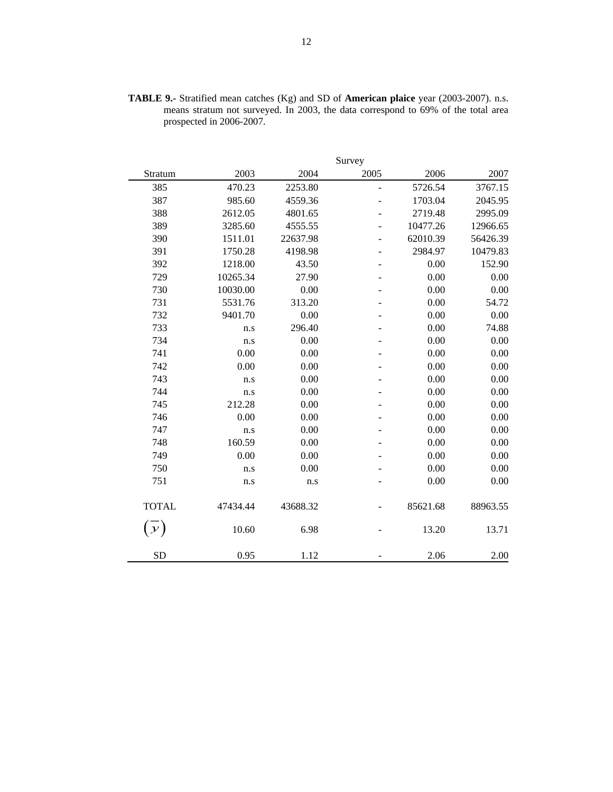| <b>TABLE 9.-</b> Stratified mean catches $(Kg)$ and SD of <b>American plaice</b> year (2003-2007). n.s. |  |  |  |
|---------------------------------------------------------------------------------------------------------|--|--|--|
| means stratum not surveyed. In 2003, the data correspond to 69% of the total area                       |  |  |  |
| prospected in 2006-2007.                                                                                |  |  |  |

|               |          |          | Survey         |          |          |
|---------------|----------|----------|----------------|----------|----------|
| Stratum       | 2003     | 2004     | 2005           | 2006     | 2007     |
| 385           | 470.23   | 2253.80  | $\overline{a}$ | 5726.54  | 3767.15  |
| 387           | 985.60   | 4559.36  | ÷,             | 1703.04  | 2045.95  |
| 388           | 2612.05  | 4801.65  |                | 2719.48  | 2995.09  |
| 389           | 3285.60  | 4555.55  |                | 10477.26 | 12966.65 |
| 390           | 1511.01  | 22637.98 |                | 62010.39 | 56426.39 |
| 391           | 1750.28  | 4198.98  |                | 2984.97  | 10479.83 |
| 392           | 1218.00  | 43.50    | ÷,             | 0.00     | 152.90   |
| 729           | 10265.34 | 27.90    | ÷,             | 0.00     | 0.00     |
| 730           | 10030.00 | 0.00     |                | 0.00     | 0.00     |
| 731           | 5531.76  | 313.20   |                | 0.00     | 54.72    |
| 732           | 9401.70  | 0.00     |                | 0.00     | 0.00     |
| 733           | n.s      | 296.40   |                | 0.00     | 74.88    |
| 734           | n.s      | 0.00     |                | 0.00     | 0.00     |
| 741           | 0.00     | 0.00     |                | 0.00     | 0.00     |
| 742           | 0.00     | 0.00     |                | 0.00     | 0.00     |
| 743           | n.s      | 0.00     |                | 0.00     | 0.00     |
| 744           | n.s      | 0.00     |                | 0.00     | 0.00     |
| 745           | 212.28   | 0.00     |                | 0.00     | 0.00     |
| 746           | 0.00     | 0.00     |                | 0.00     | 0.00     |
| 747           | n.s      | 0.00     |                | 0.00     | 0.00     |
| 748           | 160.59   | 0.00     |                | 0.00     | 0.00     |
| 749           | 0.00     | 0.00     |                | 0.00     | 0.00     |
| 750           | n.s      | 0.00     |                | 0.00     | 0.00     |
| 751           | n.s      | n.s      |                | 0.00     | 0.00     |
| <b>TOTAL</b>  | 47434.44 | 43688.32 |                | 85621.68 | 88963.55 |
| $\mathcal{Y}$ | 10.60    | 6.98     |                | 13.20    | 13.71    |
| <b>SD</b>     | 0.95     | 1.12     |                | 2.06     | 2.00     |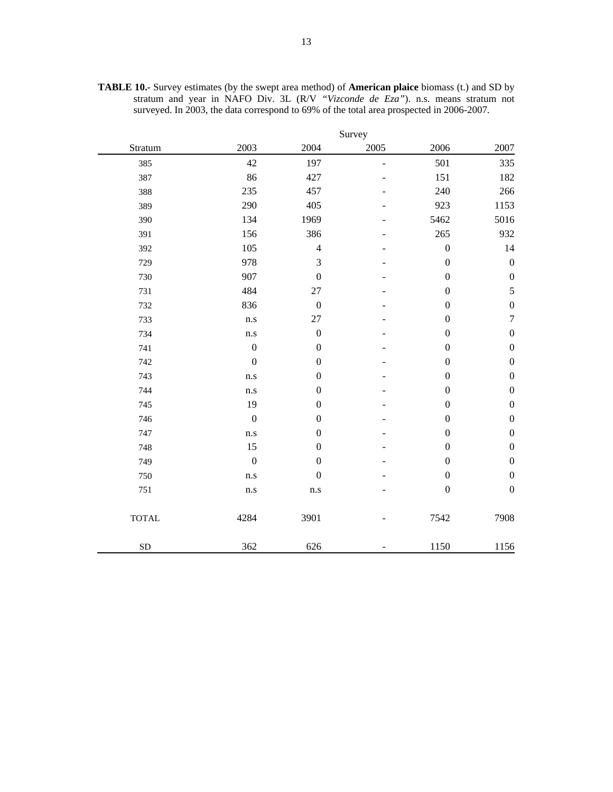|              |                  |                  | Survey         |                  |                  |
|--------------|------------------|------------------|----------------|------------------|------------------|
| Stratum      | 2003             | 2004             | 2005           | 2006             | 2007             |
| 385          | 42               | 197              | $\overline{a}$ | 501              | 335              |
| 387          | 86               | 427              |                | 151              | 182              |
| 388          | 235              | 457              |                | 240              | 266              |
| 389          | 290              | 405              |                | 923              | 1153             |
| 390          | 134              | 1969             |                | 5462             | 5016             |
| 391          | 156              | 386              |                | 265              | 932              |
| 392          | 105              | $\overline{4}$   |                | $\boldsymbol{0}$ | 14               |
| 729          | 978              | 3                |                | $\boldsymbol{0}$ | $\boldsymbol{0}$ |
| 730          | 907              | $\boldsymbol{0}$ |                | $\boldsymbol{0}$ | $\boldsymbol{0}$ |
| 731          | 484              | $27\,$           |                | $\boldsymbol{0}$ | 5                |
| 732          | 836              | $\boldsymbol{0}$ |                | $\boldsymbol{0}$ | $\boldsymbol{0}$ |
| 733          | n.s              | 27               |                | $\boldsymbol{0}$ | $\boldsymbol{7}$ |
| 734          | n.s              | $\boldsymbol{0}$ |                | $\boldsymbol{0}$ | $\boldsymbol{0}$ |
| 741          | $\boldsymbol{0}$ | $\boldsymbol{0}$ |                | $\boldsymbol{0}$ | $\boldsymbol{0}$ |
| 742          | $\boldsymbol{0}$ | $\boldsymbol{0}$ |                | $\boldsymbol{0}$ | $\boldsymbol{0}$ |
| 743          | n.s              | $\boldsymbol{0}$ |                | $\boldsymbol{0}$ | $\boldsymbol{0}$ |
| 744          | n.s              | $\boldsymbol{0}$ |                | $\boldsymbol{0}$ | $\boldsymbol{0}$ |
| 745          | 19               | $\boldsymbol{0}$ |                | $\boldsymbol{0}$ | $\boldsymbol{0}$ |
| 746          | $\boldsymbol{0}$ | $\boldsymbol{0}$ |                | $\boldsymbol{0}$ | $\boldsymbol{0}$ |
| 747          | $\rm n.s$        | $\boldsymbol{0}$ |                | $\boldsymbol{0}$ | $\boldsymbol{0}$ |
| 748          | 15               | $\boldsymbol{0}$ |                | $\boldsymbol{0}$ | $\boldsymbol{0}$ |
| 749          | $\boldsymbol{0}$ | $\boldsymbol{0}$ |                | $\boldsymbol{0}$ | $\boldsymbol{0}$ |
| 750          | n.s              | $\boldsymbol{0}$ |                | $\boldsymbol{0}$ | $\boldsymbol{0}$ |
| 751          | $\rm n.s$        | $\rm n.s$        |                | $\boldsymbol{0}$ | $\boldsymbol{0}$ |
| <b>TOTAL</b> | 4284             | 3901             |                | 7542             | 7908             |
| <b>SD</b>    | 362              | 626              |                | 1150             | 1156             |

**TABLE 10.-** Survey estimates (by the swept area method) of **American plaice** biomass (t.) and SD by stratum and year in NAFO Div. 3L (R/V *"Vizconde de Eza"*). n.s. means stratum not surveyed. In 2003, the data correspond to 69% of the total area prospected in 2006-2007.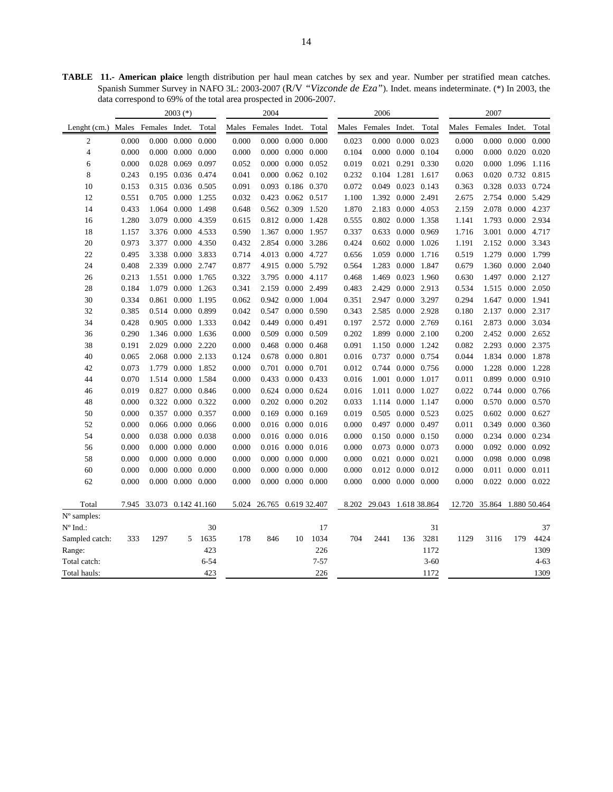**TABLE 11.- American plaice** length distribution per haul mean catches by sex and year. Number per stratified mean catches. Spanish Summer Survey in NAFO 3L: 2003-2007 (R/V *"Vizconde de Eza"*). Indet. means indeterminate. (\*) In 2003, the data correspond to 69% of the total area prospected in 2006-2007.

| 2004<br>$2003$ (*)<br>2006                                                                                                                     | 2007                |  |  |  |
|------------------------------------------------------------------------------------------------------------------------------------------------|---------------------|--|--|--|
| Males Females Indet.<br>Lenght (cm.) Males Females Indet.<br>Total<br>Males Females Indet.<br>Total<br>Males Females Indet.<br>Total           | Total               |  |  |  |
| 0.000<br>0.000<br>0.000<br>0.000<br>0.000<br>0.000<br>0.000<br>0.023<br>0.000<br>0.000<br>0.000<br>0.000<br>$\overline{2}$<br>0.000<br>0.023   | 0.000<br>0.000      |  |  |  |
| $0.000 \quad 0.000$<br>0.000 0.104<br>$\overline{4}$<br>0.000<br>0.000<br>0.000<br>0.000<br>0.000<br>0.000<br>0.104<br>0.000<br>0.000<br>0.000 | 0.020<br>0.020      |  |  |  |
| 0.028<br>0.069<br>0.097<br>0.000<br>0.000 0.052<br>0.291<br>0.020<br>0.000<br>6<br>0.000<br>0.052<br>0.019<br>0.021<br>0.330                   | 1.096<br>1.116      |  |  |  |
| 8<br>$0.000$ $0.062$ $0.102$<br>0.104 1.281 1.617<br>0.243<br>0.195 0.036 0.474<br>0.041<br>0.232<br>0.063                                     | 0.020 0.732 0.815   |  |  |  |
| 10<br>0.153<br>0.315 0.036 0.505<br>0.091<br>0.093<br>0.186 0.370<br>0.072<br>0.049<br>0.023 0.143<br>0.363<br>0.328                           | 0.033 0.724         |  |  |  |
| 12<br>0.551<br>0.705<br>0.000<br>0.032<br>0.423 0.062 0.517<br>1.392<br>0.000 2.491<br>2.675<br>1.255<br>1.100                                 | 2.754 0.000 5.429   |  |  |  |
| 14<br>0.562 0.309 1.520<br>0.433<br>1.064<br>0.000 1.498<br>0.648<br>1.870<br>2.183<br>0.000 4.053<br>2.159<br>2.078                           | 0.000 4.237         |  |  |  |
| 0.812 0.000 1.428<br>16<br>1.280<br>3.079<br>0.000<br>4.359<br>0.615<br>0.555<br>0.802<br>0.000 1.358<br>1.141<br>1.793                        | 0.000<br>2.934      |  |  |  |
| 18<br>0.000 1.957<br>0.633<br>0.000 0.969<br>1.716<br>3.001<br>1.157<br>3.376<br>0.000 4.533<br>0.590<br>1.367<br>0.337                        | 0.000<br>4.717      |  |  |  |
| 20<br>0.973<br>0.432<br>2.854<br>0.000 3.286<br>0.602<br>0.000 1.026<br>1.191<br>2.152<br>3.377<br>0.000<br>4.350<br>0.424                     | 3.343<br>0.000      |  |  |  |
| 22<br>0.714<br>4.013 0.000 4.727<br>0.000 1.716<br>0.519<br>1.279 0.000<br>0.495<br>3.338<br>0.000 3.833<br>0.656<br>1.059                     | 1.799               |  |  |  |
| 4.915 0.000 5.792<br>24<br>0.408<br>2.339<br>0.000 2.747<br>0.877<br>0.564<br>1.283<br>0.000 1.847<br>0.679                                    | 1.360 0.000 2.040   |  |  |  |
| 0.000 4.117<br>0.023 1.960<br>26<br>0.213<br>1.551<br>0.000<br>1.765<br>0.322<br>3.795<br>0.468<br>1.469<br>0.630<br>1.497                     | 0.000 2.127         |  |  |  |
| 0.000 2.499<br>28<br>0.184<br>1.079<br>0.000<br>1.263<br>0.341<br>2.159<br>0.483<br>2.429<br>0.000 2.913<br>0.534<br>1.515                     | 0.000<br>2.050      |  |  |  |
| 30<br>0.334<br>0.062<br>0.942 0.000<br>1.004<br>0.000<br>3.297<br>0.294<br>0.861<br>0.000<br>1.195<br>0.351<br>2.947<br>1.647                  | 0.000<br>1.941      |  |  |  |
| 32<br>0.385<br>0.514 0.000 0.899<br>0.042<br>0.547 0.000 0.590<br>0.343<br>2.585<br>0.000 2.928<br>0.180<br>2.137                              | 0.000 2.317         |  |  |  |
| 34<br>0.042<br>0.449<br>0.000 0.491<br>0.000 2.769<br>2.873<br>0.428<br>0.905<br>0.000<br>1.333<br>0.197<br>2.572<br>0.161                     | 3.034<br>0.000      |  |  |  |
| 0.509 0.000 0.509<br>36<br>0.290<br>1.346<br>0.000<br>1.636<br>0.000<br>0.202<br>1.899<br>0.000 2.100<br>0.200<br>2.452 0.000                  | 2.652               |  |  |  |
| 38<br>0.191<br>2.029<br>0.000 2.220<br>0.000<br>0.468<br>$0.000 \quad 0.468$<br>0.091<br>0.000 1.242<br>0.082<br>2.293<br>1.150                | 0.000<br>2.375      |  |  |  |
| 40<br>0.065<br>2.068<br>0.000<br>2.133<br>0.124<br>0.678<br>0.000<br>0.801<br>0.016<br>0.737<br>0.000 0.754<br>0.044<br>1.834                  | 0.000<br>1.878      |  |  |  |
| 42<br>0.701 0.000 0.701<br>$0.000 \quad 0.756$<br>1.228<br>0.073<br>1.779<br>0.000 1.852<br>0.000<br>0.012<br>0.744<br>0.000                   | 0.000<br>1.228      |  |  |  |
| 0.000 0.433<br>0.899<br>44<br>0.070<br>0.000<br>1.584<br>0.000<br>0.433<br>0.016<br>1.001<br>0.000 1.017<br>0.011<br>1.514                     | 0.000<br>0.910      |  |  |  |
| 0.827<br>0.624 0.000 0.624<br>0.000<br>0.022<br>0.744 0.000<br>46<br>0.019<br>0.000<br>0.846<br>0.000<br>0.016<br>1.011<br>1.027               | 0.766               |  |  |  |
| 48<br>0.000<br>0.322<br>0.000<br>0.322<br>0.000<br>0.202 0.000 0.202<br>0.033<br>1.114<br>0.000 1.147<br>0.000<br>0.570                        | 0.000<br>0.570      |  |  |  |
| 0.169 0.000 0.169<br>50<br>0.000<br>0.357<br>0.000<br>0.357<br>0.000<br>0.019<br>0.505<br>0.000 0.523<br>0.025<br>0.602                        | 0.000<br>0.627      |  |  |  |
| 52<br>0.016 0.000 0.016<br>0.011<br>0.000<br>0.066 0.000 0.066<br>0.000<br>0.000<br>0.497<br>0.000 0.497<br>0.349                              | 0.000 0.360         |  |  |  |
| 54<br>0.038<br>$0.000 \quad 0.016$<br>0.000<br>0.234<br>0.000<br>0.000<br>0.038<br>0.000<br>0.016<br>0.000<br>0.150<br>$0.000 \quad 0.150$     | 0.000<br>0.234      |  |  |  |
| 56<br>0.000<br>0.000<br>0.000<br>0.016 0.000 0.016<br>0.073<br>0.000 0.073<br>0.000<br>0.092 0.000<br>0.000<br>0.000<br>0.000                  | 0.092               |  |  |  |
| 58<br>0.000<br>0.000<br>0.098<br>0.000<br>0.000<br>0.000<br>0.000<br>0.000<br>0.000<br>0.000<br>0.021<br>0.000<br>0.021<br>0.000               | 0.000<br>0.098      |  |  |  |
| 60<br>0.000<br>0.000<br>0.000<br>0.000<br>0.000<br>0.000<br>$0.000 \quad 0.000$<br>0.000<br>0.012 0.000 0.012<br>0.000<br>0.011                | 0.000<br>0.011      |  |  |  |
| 62<br>$0.000$ $0.000$ $0.000$<br>0.000<br>$0.000$ $0.000$ $0.000$<br>0.000<br>$0.000$ $0.000$ $0.000$<br>0.000<br>0.000                        | 0.022 0.000 0.022   |  |  |  |
| Total<br>7.945<br>33.073 0.142 41.160<br>5.024<br>26.765 0.619 32.407<br>8.202<br>29.043 1.618 38.864<br>12.720                                | 35.864 1.880 50.464 |  |  |  |
| $N^{\circ}$ samples:                                                                                                                           |                     |  |  |  |
| 31<br>$N^{\circ}$ Ind.:<br>30<br>17                                                                                                            | 37                  |  |  |  |
| 333<br>1297<br>1635<br>178<br>846<br>1034<br>704<br>2441<br>3281<br>1129<br>3116<br>Sampled catch:<br>5<br>10<br>136                           | 4424<br>179         |  |  |  |
| 423<br>226<br>1172<br>Range:                                                                                                                   | 1309                |  |  |  |
| $6 - 54$<br>$7 - 57$<br>Total catch:<br>$3 - 60$                                                                                               | $4 - 63$            |  |  |  |
| 423<br>226<br>1172<br>Total hauls:                                                                                                             | 1309                |  |  |  |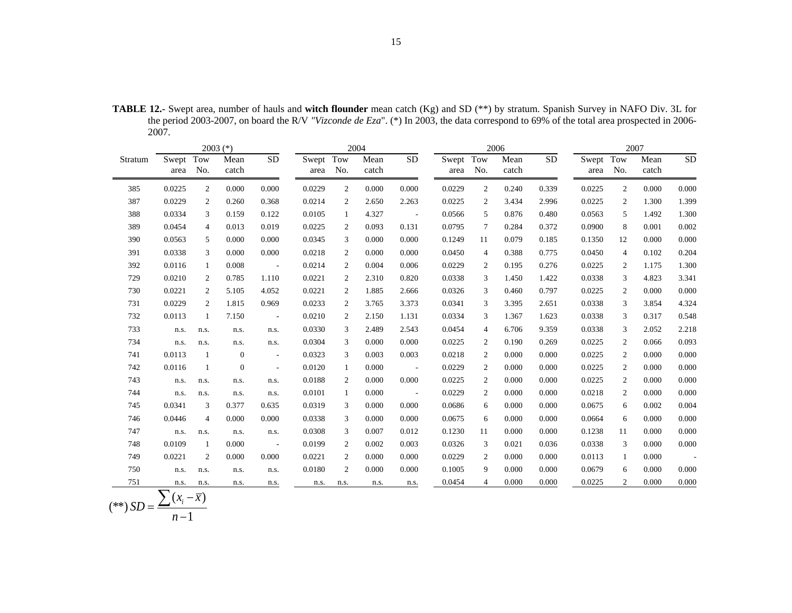15

|         |                          |                | $2003$ (*)    |                          |               |                | 2004          |                      | 2006              |                |               |           |           | 2007     |               |                 |  |
|---------|--------------------------|----------------|---------------|--------------------------|---------------|----------------|---------------|----------------------|-------------------|----------------|---------------|-----------|-----------|----------|---------------|-----------------|--|
| Stratum | Swept<br>area            | Tow<br>No.     | Mean<br>catch | $\overline{SD}$          | Swept<br>area | Tow<br>No.     | Mean<br>catch | <b>SD</b>            | Swept Tow<br>area | No.            | Mean<br>catch | <b>SD</b> | Swept Tow | area No. | Mean<br>catch | $\overline{SD}$ |  |
| 385     | 0.0225                   | $\overline{2}$ | 0.000         | 0.000                    | 0.0229        | $\overline{2}$ | 0.000         | 0.000                | 0.0229            | 2              | 0.240         | 0.339     | 0.0225    | 2        | 0.000         | 0.000           |  |
| 387     | 0.0229                   | 2              | 0.260         | 0.368                    | 0.0214        | 2              | 2.650         | 2.263                | 0.0225            | 2              | 3.434         | 2.996     | 0.0225    | 2        | 1.300         | 1.399           |  |
| 388     | 0.0334                   | 3              | 0.159         | 0.122                    | 0.0105        | 1              | 4.327         | $\sim 100$ m $^{-1}$ | 0.0566            | 5              | 0.876         | 0.480     | 0.0563    | 5        | 1.492         | 1.300           |  |
| 389     | 0.0454                   | $\overline{4}$ | 0.013         | 0.019                    | 0.0225        | 2              | 0.093         | 0.131                | 0.0795            | 7              | 0.284         | 0.372     | 0.0900    | 8        | 0.001         | 0.002           |  |
| 390     | 0.0563                   | 5              | 0.000         | 0.000                    | 0.0345        | 3              | 0.000         | 0.000                | 0.1249            | 11             | 0.079         | 0.185     | 0.1350    | 12       | 0.000         | 0.000           |  |
| 391     | 0.0338                   | 3              | 0.000         | 0.000                    | 0.0218        | 2              | 0.000         | 0.000                | 0.0450            | 4              | 0.388         | 0.775     | 0.0450    | 4        | 0.102         | 0.204           |  |
| 392     | 0.0116                   | 1              | 0.008         | $\sim 100$               | 0.0214        | 2              | 0.004         | 0.006                | 0.0229            | 2              | 0.195         | 0.276     | 0.0225    | 2        | 1.175         | 1.300           |  |
| 729     | 0.0210                   | 2              | 0.785         | 1.110                    | 0.0221        | 2              | 2.310         | 0.820                | 0.0338            | 3              | 1.450         | 1.422     | 0.0338    | 3        | 4.823         | 3.341           |  |
| 730     | 0.0221                   | 2              | 5.105         | 4.052                    | 0.0221        | 2              | 1.885         | 2.666                | 0.0326            | 3              | 0.460         | 0.797     | 0.0225    | 2        | 0.000         | 0.000           |  |
| 731     | 0.0229                   | 2              | 1.815         | 0.969                    | 0.0233        | 2              | 3.765         | 3.373                | 0.0341            | 3              | 3.395         | 2.651     | 0.0338    | 3        | 3.854         | 4.324           |  |
| 732     | 0.0113                   | 1              | 7.150         | $\sim$ $-$               | 0.0210        | 2              | 2.150         | 1.131                | 0.0334            | 3              | 1.367         | 1.623     | 0.0338    | 3        | 0.317         | 0.548           |  |
| 733     | n.s.                     | n.s.           | n.s.          | n.s.                     | 0.0330        | 3              | 2.489         | 2.543                | 0.0454            | $\overline{4}$ | 6.706         | 9.359     | 0.0338    | 3        | 2.052         | 2.218           |  |
| 734     | n.s.                     | n.s.           | n.s.          | n.s.                     | 0.0304        | 3              | 0.000         | 0.000                | 0.0225            | 2              | 0.190         | 0.269     | 0.0225    | 2        | 0.066         | 0.093           |  |
| 741     | 0.0113                   | 1              | $\mathbf{0}$  | $\sim$                   | 0.0323        | 3              | 0.003         | 0.003                | 0.0218            | 2              | 0.000         | 0.000     | 0.0225    | 2        | 0.000         | 0.000           |  |
| 742     | 0.0116                   | 1              | $\mathbf{0}$  | $\overline{\phantom{a}}$ | 0.0120        | 1              | 0.000         | $\sim 100$           | 0.0229            | 2              | 0.000         | 0.000     | 0.0225    | 2        | 0.000         | 0.000           |  |
| 743     | n.s.                     | n.s.           | n.s.          | n.s.                     | 0.0188        | 2              | 0.000         | 0.000                | 0.0225            | 2              | 0.000         | 0.000     | 0.0225    | 2        | 0.000         | 0.000           |  |
| 744     | n.s.                     | n.s.           | n.s.          | n.s.                     | 0.0101        | 1              | 0.000         | $\sim 100$           | 0.0229            | 2              | 0.000         | 0.000     | 0.0218    | 2        | 0.000         | 0.000           |  |
| 745     | 0.0341                   | 3              | 0.377         | 0.635                    | 0.0319        | 3              | 0.000         | 0.000                | 0.0686            | 6              | 0.000         | 0.000     | 0.0675    | 6        | 0.002         | 0.004           |  |
| 746     | 0.0446                   | $\overline{4}$ | 0.000         | 0.000                    | 0.0338        | 3              | 0.000         | 0.000                | 0.0675            | 6              | 0.000         | 0.000     | 0.0664    | 6        | 0.000         | 0.000           |  |
| 747     | n.s.                     | n.s.           | n.s.          | n.s.                     | 0.0308        | 3              | 0.007         | 0.012                | 0.1230            | 11             | 0.000         | 0.000     | 0.1238    | 11       | 0.000         | 0.000           |  |
| 748     | 0.0109                   | 1              | 0.000         | $\sim$ $-$               | 0.0199        | 2              | 0.002         | 0.003                | 0.0326            | 3              | 0.021         | 0.036     | 0.0338    | 3        | 0.000         | 0.000           |  |
| 749     | 0.0221                   | $\overline{c}$ | 0.000         | 0.000                    | 0.0221        | 2              | 0.000         | 0.000                | 0.0229            | 2              | 0.000         | 0.000     | 0.0113    | 1        | 0.000         | $\sim$          |  |
| 750     | n.s.                     | n.s.           | n.s.          | n.s.                     | 0.0180        | $\overline{c}$ | 0.000         | 0.000                | 0.1005            | 9              | 0.000         | 0.000     | 0.0679    | 6        | 0.000         | 0.000           |  |
| 751     | n.s.                     | n.s.           | n.s.          | n.s.                     | n.s.          | n.s.           | n.s.          | n.s.                 | 0.0454            | $\overline{4}$ | 0.000         | 0.000     | 0.0225    | 2        | 0.000         | 0.000           |  |
|         | $\overline{\phantom{0}}$ |                |               |                          |               |                |               |                      |                   |                |               |           |           |          |               |                 |  |

**TABLE 12.-** Swept area, number of hauls and **witch flounder** mean catch (Kg) and SD (\*\*) by stratum. Spanish Survey in NAFO Div. 3L for the period 2003-2007, on board the R/V *"Vizconde de Eza*". (\*) In 2003, the data correspond to 69% of the total area prospected in 2006- 2007.

$$
(**) SD = \frac{\sum (x_i - \overline{x})}{n-1}
$$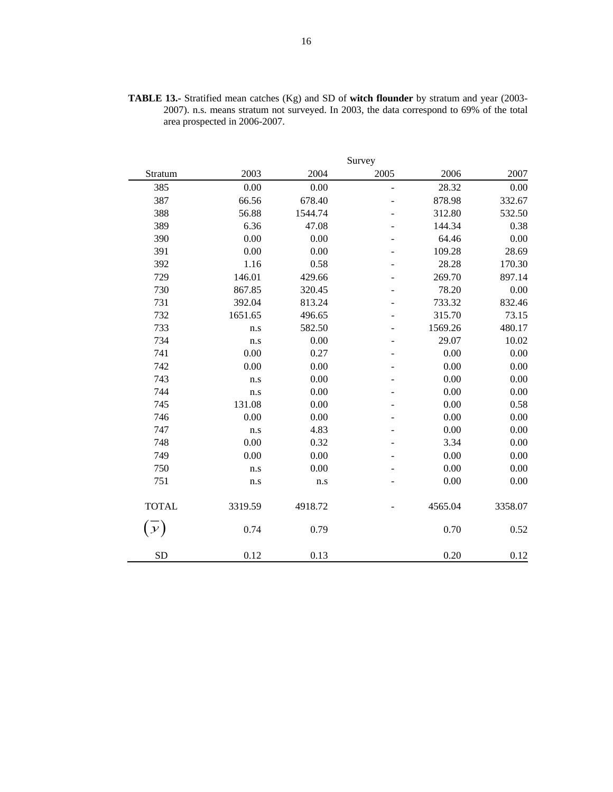|               |         |         | Survey                   |         |         |
|---------------|---------|---------|--------------------------|---------|---------|
| Stratum       | 2003    | 2004    | 2005                     | 2006    | 2007    |
| 385           | 0.00    | 0.00    | ÷,                       | 28.32   | 0.00    |
| 387           | 66.56   | 678.40  |                          | 878.98  | 332.67  |
| 388           | 56.88   | 1544.74 |                          | 312.80  | 532.50  |
| 389           | 6.36    | 47.08   |                          | 144.34  | 0.38    |
| 390           | 0.00    | 0.00    |                          | 64.46   | 0.00    |
| 391           | 0.00    | 0.00    |                          | 109.28  | 28.69   |
| 392           | 1.16    | 0.58    |                          | 28.28   | 170.30  |
| 729           | 146.01  | 429.66  |                          | 269.70  | 897.14  |
| 730           | 867.85  | 320.45  | $\overline{\phantom{0}}$ | 78.20   | 0.00    |
| 731           | 392.04  | 813.24  |                          | 733.32  | 832.46  |
| 732           | 1651.65 | 496.65  |                          | 315.70  | 73.15   |
| 733           | n.s     | 582.50  |                          | 1569.26 | 480.17  |
| 734           | n.s     | 0.00    |                          | 29.07   | 10.02   |
| 741           | 0.00    | 0.27    |                          | 0.00    | 0.00    |
| 742           | 0.00    | 0.00    |                          | 0.00    | 0.00    |
| 743           | n.s     | 0.00    |                          | 0.00    | 0.00    |
| 744           | n.s     | 0.00    |                          | 0.00    | 0.00    |
| 745           | 131.08  | 0.00    |                          | 0.00    | 0.58    |
| 746           | 0.00    | 0.00    |                          | 0.00    | 0.00    |
| 747           | n.s     | 4.83    |                          | 0.00    | 0.00    |
| 748           | 0.00    | 0.32    |                          | 3.34    | 0.00    |
| 749           | 0.00    | 0.00    |                          | 0.00    | 0.00    |
| 750           | n.s     | 0.00    |                          | 0.00    | 0.00    |
| 751           | n.s     | n.s     |                          | 0.00    | 0.00    |
| <b>TOTAL</b>  | 3319.59 | 4918.72 |                          | 4565.04 | 3358.07 |
| $\mathcal{Y}$ | 0.74    | 0.79    |                          | 0.70    | 0.52    |
| <b>SD</b>     | 0.12    | 0.13    |                          | 0.20    | 0.12    |

**TABLE 13.-** Stratified mean catches (Kg) and SD of **witch flounder** by stratum and year (2003- 2007). n.s. means stratum not surveyed. In 2003, the data correspond to 69% of the total area prospected in 2006-2007.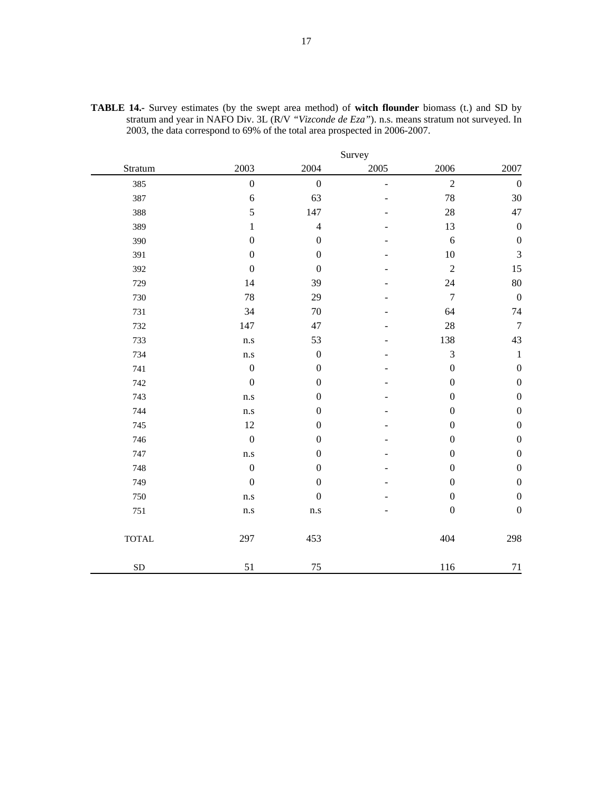|              |                         |                  | Survey |                  |                  |
|--------------|-------------------------|------------------|--------|------------------|------------------|
| Stratum      | 2003                    | 2004             | 2005   | 2006             | 2007             |
| 385          | $\boldsymbol{0}$        | $\boldsymbol{0}$ | ÷,     | $\overline{2}$   | $\boldsymbol{0}$ |
| 387          | 6                       | 63               |        | 78               | 30               |
| 388          | 5                       | 147              |        | 28               | 47               |
| 389          | 1                       | $\overline{4}$   |        | 13               | $\boldsymbol{0}$ |
| 390          | $\boldsymbol{0}$        | $\boldsymbol{0}$ |        | 6                | $\boldsymbol{0}$ |
| 391          | $\boldsymbol{0}$        | $\boldsymbol{0}$ |        | 10               | $\mathfrak{Z}$   |
| 392          | $\boldsymbol{0}$        | $\boldsymbol{0}$ |        | $\overline{c}$   | 15               |
| 729          | 14                      | 39               |        | 24               | 80               |
| 730          | 78                      | 29               |        | $\boldsymbol{7}$ | $\boldsymbol{0}$ |
| 731          | 34                      | 70               |        | 64               | 74               |
| 732          | 147                     | 47               |        | 28               | $\overline{7}$   |
| 733          | n.s                     | 53               |        | 138              | 43               |
| 734          | $\mathbf{n}.\mathbf{s}$ | $\boldsymbol{0}$ |        | 3                | $\,1\,$          |
| 741          | $\boldsymbol{0}$        | $\boldsymbol{0}$ |        | $\boldsymbol{0}$ | $\boldsymbol{0}$ |
| 742          | $\boldsymbol{0}$        | $\boldsymbol{0}$ |        | $\boldsymbol{0}$ | $\boldsymbol{0}$ |
| 743          | n.s                     | $\boldsymbol{0}$ |        | $\boldsymbol{0}$ | $\boldsymbol{0}$ |
| 744          | n.s                     | $\boldsymbol{0}$ |        | $\boldsymbol{0}$ | $\boldsymbol{0}$ |
| 745          | 12                      | $\boldsymbol{0}$ |        | $\boldsymbol{0}$ | $\boldsymbol{0}$ |
| 746          | $\boldsymbol{0}$        | $\boldsymbol{0}$ |        | $\boldsymbol{0}$ | $\boldsymbol{0}$ |
| 747          | n.s                     | $\boldsymbol{0}$ |        | $\boldsymbol{0}$ | $\boldsymbol{0}$ |
| 748          | $\boldsymbol{0}$        | $\boldsymbol{0}$ |        | $\boldsymbol{0}$ | $\boldsymbol{0}$ |
| 749          | $\boldsymbol{0}$        | $\boldsymbol{0}$ |        | $\boldsymbol{0}$ | $\boldsymbol{0}$ |
| 750          | n.s                     | $\boldsymbol{0}$ |        | $\boldsymbol{0}$ | $\boldsymbol{0}$ |
| 751          | n.s                     | $\rm n.s$        |        | $\boldsymbol{0}$ | $\boldsymbol{0}$ |
| <b>TOTAL</b> | 297                     | 453              |        | 404              | 298              |
| SD           | 51                      | 75               |        | 116              | 71               |

**TABLE 14.-** Survey estimates (by the swept area method) of **witch flounder** biomass (t.) and SD by stratum and year in NAFO Div. 3L (R/V *"Vizconde de Eza"*). n.s. means stratum not surveyed. In 2003, the data correspond to 69% of the total area prospected in 2006-2007.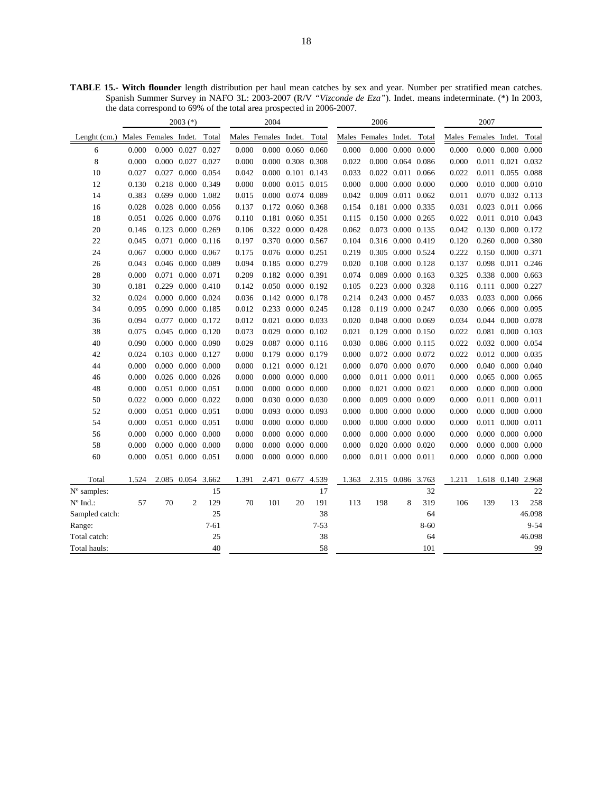**TABLE 15.- Witch flounder** length distribution per haul mean catches by sex and year. Number per stratified mean catches. Spanish Summer Survey in NAFO 3L: 2003-2007 (R/V *"Vizconde de Eza"*). Indet. means indeterminate. (\*) In 2003, the data correspond to 69% of the total area prospected in 2006-2007.

|                   |                            |    | $2003$ (*)              |        | 2004                 |     |                         |          | 2006                 |       |                         |          | 2007                 |     |                         |          |
|-------------------|----------------------------|----|-------------------------|--------|----------------------|-----|-------------------------|----------|----------------------|-------|-------------------------|----------|----------------------|-----|-------------------------|----------|
| Lenght $(cm.)$    | Males Females Indet. Total |    |                         |        | Males Females Indet. |     |                         | Total    | Males Females Indet. |       |                         | Total    | Males Females Indet. |     |                         | Total    |
| 6                 | 0.000                      |    | 0.000 0.027 0.027       |        | 0.000                |     | $0.000$ $0.060$ $0.060$ |          | 0.000                |       | $0.000$ $0.000$ $0.000$ |          | 0.000                |     | 0.000 0.000 0.000       |          |
| 8                 | 0.000                      |    | 0.000 0.027 0.027       |        | 0.000                |     | 0.000 0.308 0.308       |          | 0.022                |       | 0.000 0.064 0.086       |          | 0.000                |     | 0.011 0.021 0.032       |          |
| 10                | 0.027                      |    | 0.027 0.000 0.054       |        | 0.042                |     | 0.000 0.101 0.143       |          | 0.033                |       | 0.022 0.011 0.066       |          | 0.022                |     | 0.011 0.055 0.088       |          |
| 12                | 0.130                      |    | 0.218 0.000 0.349       |        | 0.000                |     | 0.000 0.015 0.015       |          | 0.000                |       | $0.000$ $0.000$ $0.000$ |          | 0.000                |     | 0.010 0.000 0.010       |          |
| 14                | 0.383                      |    | 0.699 0.000 1.082       |        | 0.015                |     | 0.000 0.074 0.089       |          | 0.042                |       | 0.009 0.011 0.062       |          | 0.011                |     | 0.070 0.032 0.113       |          |
| 16                | 0.028                      |    | 0.028 0.000 0.056       |        | 0.137                |     | 0.172 0.060 0.368       |          | 0.154                |       | 0.181 0.000 0.335       |          | 0.031                |     | 0.023 0.011 0.066       |          |
| 18                | 0.051                      |    | 0.026 0.000 0.076       |        | 0.110                |     | 0.181 0.060 0.351       |          | 0.115                |       | 0.150 0.000 0.265       |          | 0.022                |     | 0.011 0.010 0.043       |          |
| 20                | 0.146                      |    | 0.123 0.000 0.269       |        | 0.106                |     | 0.322 0.000 0.428       |          | 0.062                |       | 0.073 0.000 0.135       |          | 0.042                |     | 0.130 0.000 0.172       |          |
| 22                | 0.045                      |    | 0.071 0.000 0.116       |        | 0.197                |     | 0.370 0.000 0.567       |          | 0.104                |       | 0.316 0.000 0.419       |          | 0.120                |     | 0.260 0.000 0.380       |          |
| 24                | 0.067                      |    | $0.000$ $0.000$ $0.067$ |        | 0.175                |     | 0.076 0.000 0.251       |          | 0.219                |       | 0.305 0.000 0.524       |          | 0.222                |     | 0.150 0.000 0.371       |          |
| 26                | 0.043                      |    | 0.046 0.000 0.089       |        | 0.094                |     | 0.185 0.000 0.279       |          | 0.020                | 0.108 | 0.000 0.128             |          | 0.137                |     | 0.098 0.011 0.246       |          |
| 28                | 0.000                      |    | 0.071 0.000 0.071       |        | 0.209                |     | 0.182 0.000 0.391       |          | 0.074                | 0.089 | $0.000 \quad 0.163$     |          | 0.325                |     | 0.338 0.000 0.663       |          |
| 30                | 0.181                      |    | 0.229 0.000 0.410       |        | 0.142                |     | 0.050 0.000 0.192       |          | 0.105                |       | 0.223 0.000 0.328       |          | 0.116                |     | 0.111 0.000 0.227       |          |
| 32                | 0.024                      |    | 0.000 0.000 0.024       |        | 0.036                |     | 0.142 0.000 0.178       |          | 0.214                |       | 0.243 0.000 0.457       |          | 0.033                |     | 0.033 0.000 0.066       |          |
| 34                | 0.095                      |    | 0.090 0.000 0.185       |        | 0.012                |     | 0.233 0.000 0.245       |          | 0.128                |       | 0.119 0.000 0.247       |          | 0.030                |     | 0.066 0.000 0.095       |          |
| 36                | 0.094                      |    | 0.077 0.000 0.172       |        | 0.012                |     | 0.021 0.000 0.033       |          | 0.020                |       | 0.048 0.000 0.069       |          | 0.034                |     | 0.044 0.000 0.078       |          |
| 38                | 0.075                      |    | 0.045 0.000 0.120       |        | 0.073                |     | 0.029 0.000 0.102       |          | 0.021                | 0.129 | 0.000 0.150             |          | 0.022                |     | 0.081 0.000 0.103       |          |
| 40                | 0.090                      |    | $0.000$ $0.000$ $0.090$ |        | 0.029                |     | 0.087 0.000 0.116       |          | 0.030                |       | 0.086 0.000 0.115       |          | 0.022                |     | 0.032 0.000 0.054       |          |
| 42                | 0.024                      |    | 0.103 0.000 0.127       |        | 0.000                |     | 0.179 0.000 0.179       |          | 0.000                | 0.072 | 0.000 0.072             |          | 0.022                |     | 0.012 0.000 0.035       |          |
| 44                | 0.000                      |    | $0.000$ $0.000$ $0.000$ |        | 0.000                |     | 0.121 0.000 0.121       |          | 0.000                | 0.070 | 0.000 0.070             |          | 0.000                |     | 0.040 0.000 0.040       |          |
| 46                | 0.000                      |    | 0.026 0.000 0.026       |        | 0.000                |     | $0.000$ $0.000$ $0.000$ |          | 0.000                | 0.011 | 0.000 0.011             |          | 0.000                |     | 0.065 0.000 0.065       |          |
| 48                | 0.000                      |    | 0.051 0.000 0.051       |        | 0.000                |     | $0.000$ $0.000$ $0.000$ |          | 0.000                | 0.021 | 0.000 0.021             |          | 0.000                |     | $0.000$ $0.000$ $0.000$ |          |
| 50                | 0.022                      |    | $0.000$ $0.000$ $0.022$ |        | 0.000                |     | 0.030 0.000 0.030       |          | 0.000                | 0.009 | 0.000 0.009             |          | 0.000                |     | 0.011 0.000 0.011       |          |
| 52                | 0.000                      |    | 0.051 0.000 0.051       |        | 0.000                |     | 0.093 0.000 0.093       |          | 0.000                | 0.000 | $0.000 \quad 0.000$     |          | 0.000                |     | $0.000$ $0.000$ $0.000$ |          |
| 54                | 0.000                      |    | 0.051 0.000 0.051       |        | 0.000                |     | $0.000$ $0.000$ $0.000$ |          | 0.000                |       | $0.000$ $0.000$ $0.000$ |          | 0.000                |     | 0.011 0.000 0.011       |          |
| 56                | 0.000                      |    | 0.000 0.000 0.000       |        | 0.000                |     | $0.000$ $0.000$ $0.000$ |          | 0.000                | 0.000 | 0.000 0.000             |          | 0.000                |     | 0.000 0.000 0.000       |          |
| 58                | 0.000                      |    | $0.000$ $0.000$ $0.000$ |        | 0.000                |     | $0.000$ $0.000$ $0.000$ |          | 0.000                | 0.020 | 0.000 0.020             |          | 0.000                |     | $0.000$ $0.000$ $0.000$ |          |
| 60                | 0.000                      |    | 0.051 0.000 0.051       |        | 0.000                |     | $0.000$ $0.000$ $0.000$ |          | 0.000                |       | 0.011 0.000 0.011       |          | 0.000                |     | $0.000$ $0.000$ $0.000$ |          |
| Total             | 1.524                      |    | 2.085 0.054 3.662       |        | 1.391                |     | 2.471 0.677 4.539       |          | 1.363                |       | 2.315 0.086 3.763       |          | 1.211                |     | 1.618 0.140 2.968       |          |
| N° samples:       |                            |    |                         | 15     |                      |     |                         | 17       |                      |       |                         | 32       |                      |     |                         | 22       |
| $N^{\circ}$ Ind.: | 57                         | 70 | $\overline{c}$          | 129    | 70                   | 101 | 20                      | 191      | 113                  | 198   | 8                       | 319      | 106                  | 139 | 13                      | 258      |
| Sampled catch:    |                            |    |                         | 25     |                      |     |                         | 38       |                      |       |                         | 64       |                      |     |                         | 46.098   |
| Range:            |                            |    |                         | $7-61$ |                      |     |                         | $7 - 53$ |                      |       |                         | $8 - 60$ |                      |     |                         | $9 - 54$ |
| Total catch:      |                            |    |                         | 25     |                      |     |                         | 38       |                      |       |                         | 64       |                      |     |                         | 46.098   |
| Total hauls:      |                            |    |                         | 40     |                      |     |                         | 58       |                      |       |                         | 101      |                      |     |                         | 99       |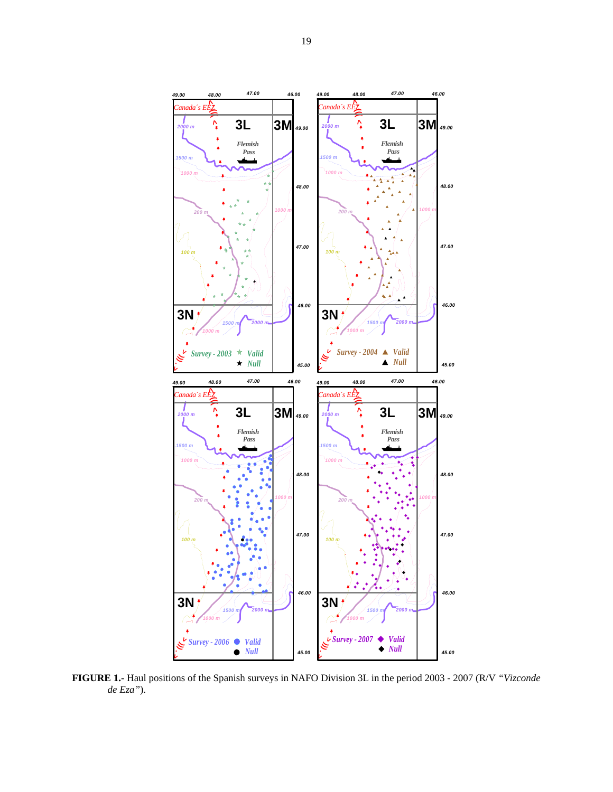

**FIGURE 1.-** Haul positions of the Spanish surveys in NAFO Division 3L in the period 2003 - 2007 (R/V *"Vizconde de Eza"*).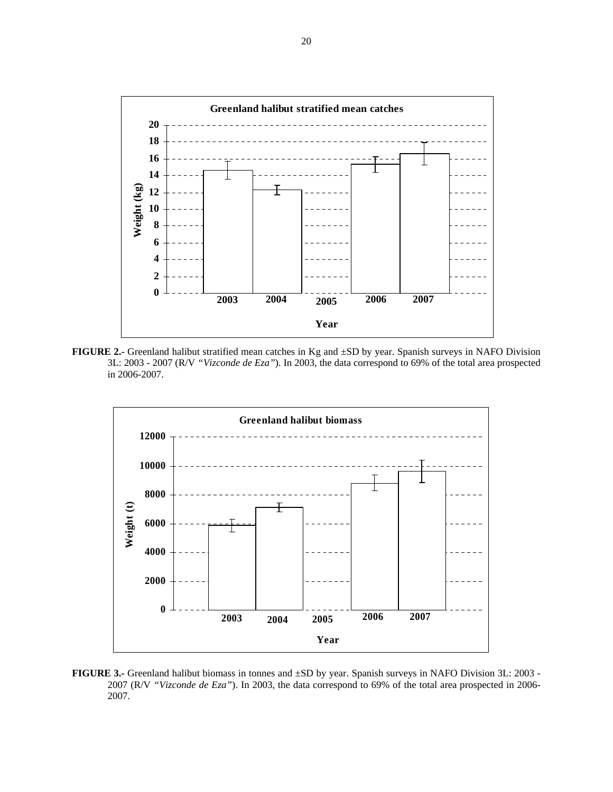

**FIGURE 2.-** Greenland halibut stratified mean catches in Kg and ±SD by year. Spanish surveys in NAFO Division 3L: 2003 - 2007 (R/V *"Vizconde de Eza"*). In 2003, the data correspond to 69% of the total area prospected in 2006-2007.



**FIGURE 3.-** Greenland halibut biomass in tonnes and ±SD by year. Spanish surveys in NAFO Division 3L: 2003 - 2007 (R/V *"Vizconde de Eza"*). In 2003, the data correspond to 69% of the total area prospected in 2006- 2007.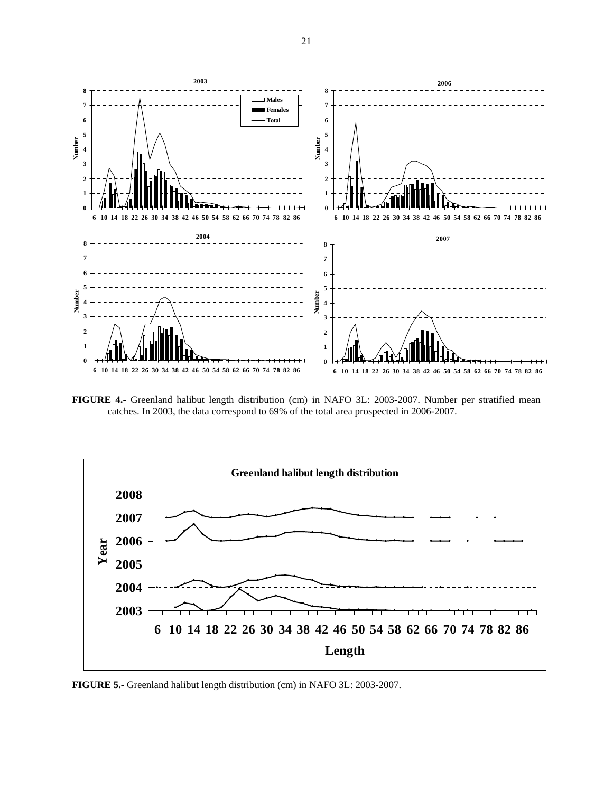

**FIGURE 4.-** Greenland halibut length distribution (cm) in NAFO 3L: 2003-2007. Number per stratified mean catches. In 2003, the data correspond to 69% of the total area prospected in 2006-2007.



**FIGURE 5.-** Greenland halibut length distribution (cm) in NAFO 3L: 2003-2007.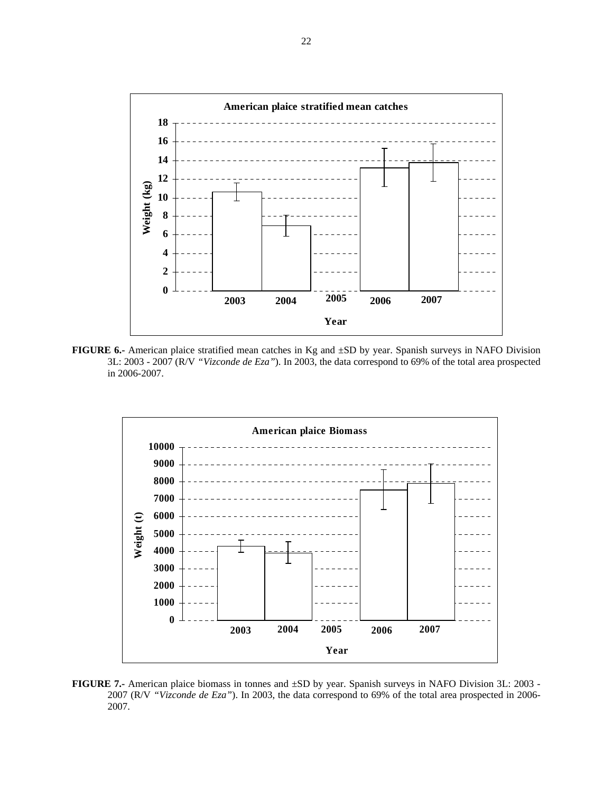

**FIGURE 6.-** American plaice stratified mean catches in Kg and ±SD by year. Spanish surveys in NAFO Division 3L: 2003 - 2007 (R/V *"Vizconde de Eza"*). In 2003, the data correspond to 69% of the total area prospected in 2006-2007.



**FIGURE 7.-** American plaice biomass in tonnes and ±SD by year. Spanish surveys in NAFO Division 3L: 2003 - 2007 (R/V *"Vizconde de Eza"*). In 2003, the data correspond to 69% of the total area prospected in 2006- 2007.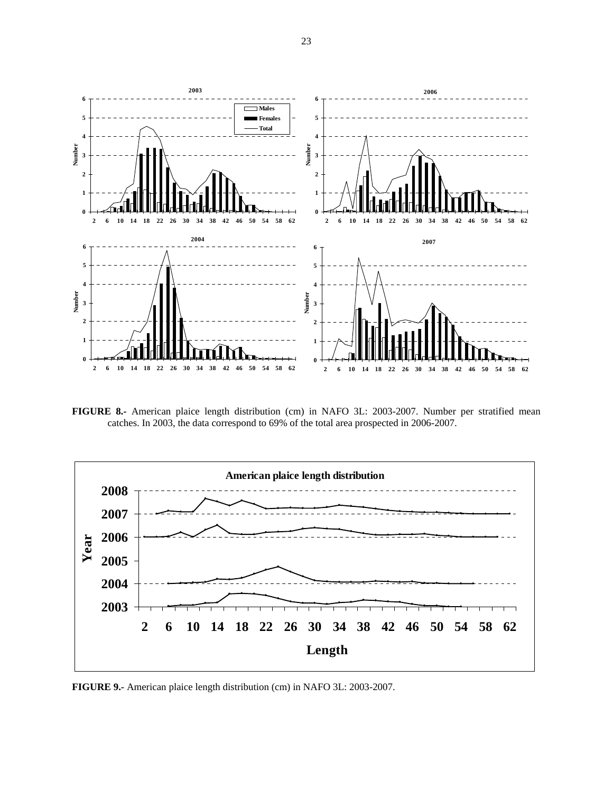

**FIGURE 8.-** American plaice length distribution (cm) in NAFO 3L: 2003-2007. Number per stratified mean catches. In 2003, the data correspond to 69% of the total area prospected in 2006-2007.



**FIGURE 9.-** American plaice length distribution (cm) in NAFO 3L: 2003-2007.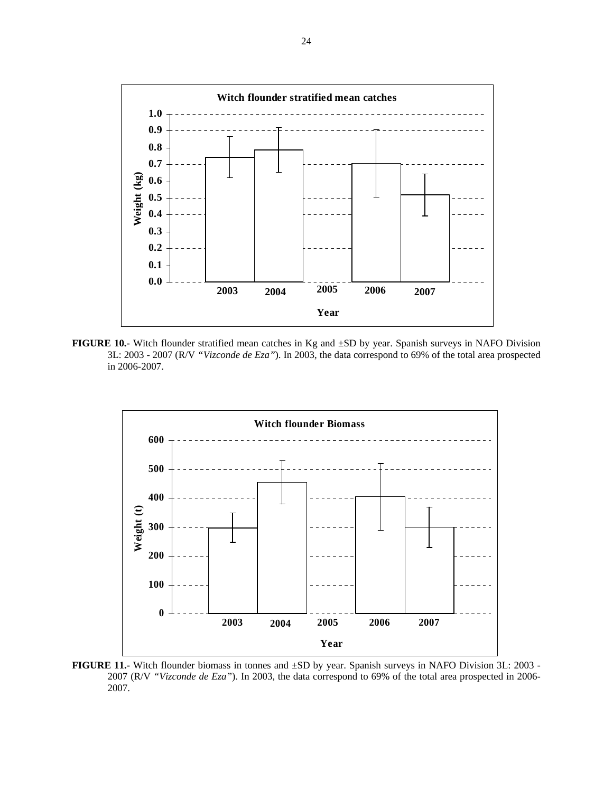

**FIGURE 10.-** Witch flounder stratified mean catches in Kg and ±SD by year. Spanish surveys in NAFO Division 3L: 2003 - 2007 (R/V *"Vizconde de Eza"*). In 2003, the data correspond to 69% of the total area prospected in 2006-2007.



**FIGURE 11.-** Witch flounder biomass in tonnes and ±SD by year. Spanish surveys in NAFO Division 3L: 2003 - 2007 (R/V *"Vizconde de Eza"*). In 2003, the data correspond to 69% of the total area prospected in 2006- 2007.